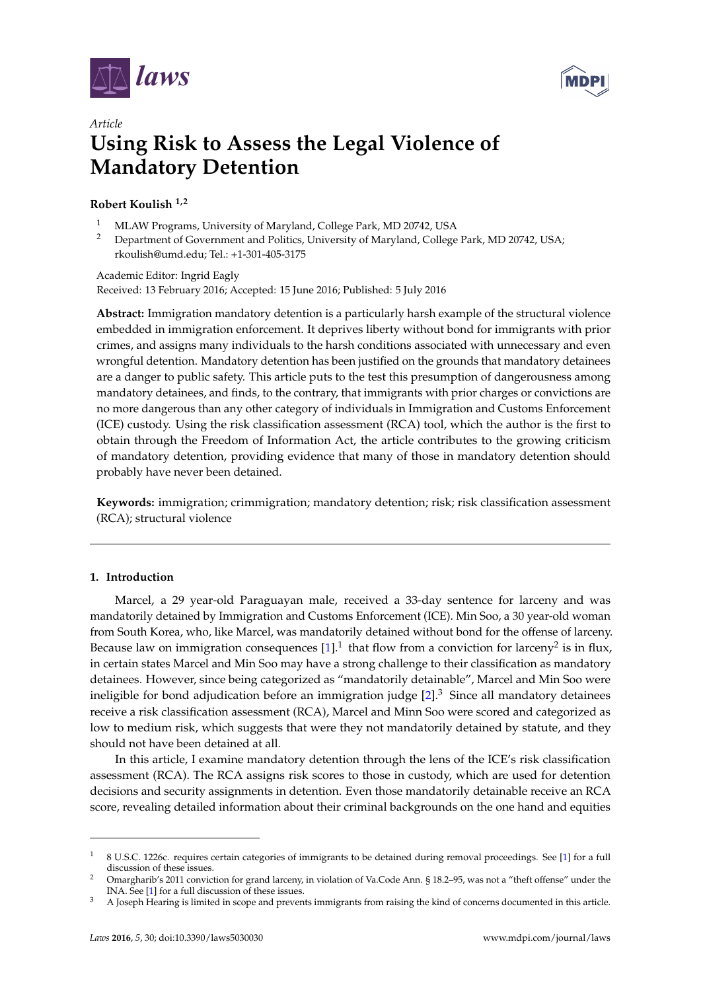



# *Article* **Using Risk to Assess the Legal Violence of Mandatory Detention**

# **Robert Koulish 1,2**

- <sup>1</sup> MLAW Programs, University of Maryland, College Park, MD 20742, USA<br><sup>2</sup> Department of Government and Politics University of Maryland, College
- <sup>2</sup> Department of Government and Politics, University of Maryland, College Park, MD 20742, USA; rkoulish@umd.edu; Tel.: +1-301-405-3175

Academic Editor: Ingrid Eagly Received: 13 February 2016; Accepted: 15 June 2016; Published: 5 July 2016

**Abstract:** Immigration mandatory detention is a particularly harsh example of the structural violence embedded in immigration enforcement. It deprives liberty without bond for immigrants with prior crimes, and assigns many individuals to the harsh conditions associated with unnecessary and even wrongful detention. Mandatory detention has been justified on the grounds that mandatory detainees are a danger to public safety. This article puts to the test this presumption of dangerousness among mandatory detainees, and finds, to the contrary, that immigrants with prior charges or convictions are no more dangerous than any other category of individuals in Immigration and Customs Enforcement (ICE) custody. Using the risk classification assessment (RCA) tool, which the author is the first to obtain through the Freedom of Information Act, the article contributes to the growing criticism of mandatory detention, providing evidence that many of those in mandatory detention should probably have never been detained.

**Keywords:** immigration; crimmigration; mandatory detention; risk; risk classification assessment (RCA); structural violence

# **1. Introduction**

Marcel, a 29 year-old Paraguayan male, received a 33-day sentence for larceny and was mandatorily detained by Immigration and Customs Enforcement (ICE). Min Soo, a 30 year-old woman from South Korea, who, like Marcel, was mandatorily detained without bond for the offense of larceny. Because law on immigration consequences  $[1]$ .<sup>1</sup> that flow from a conviction for larceny<sup>2</sup> is in flux, in certain states Marcel and Min Soo may have a strong challenge to their classification as mandatory detainees. However, since being categorized as "mandatorily detainable", Marcel and Min Soo were ineligible for bond adjudication before an immigration judge  $[2]^3$  $[2]^3$ . Since all mandatory detainees receive a risk classification assessment (RCA), Marcel and Minn Soo were scored and categorized as low to medium risk, which suggests that were they not mandatorily detained by statute, and they should not have been detained at all.

In this article, I examine mandatory detention through the lens of the ICE's risk classification assessment (RCA). The RCA assigns risk scores to those in custody, which are used for detention decisions and security assignments in detention. Even those mandatorily detainable receive an RCA score, revealing detailed information about their criminal backgrounds on the one hand and equities

<sup>1</sup> 8 U.S.C. 1226c. requires certain categories of immigrants to be detained during removal proceedings. See [\[1\]](#page-15-0) for a full discussion of these issues.

<sup>2</sup> Omargharib's 2011 conviction for grand larceny, in violation of Va.Code Ann. § 18.2–95, was not a "theft offense" under the INA. See [\[1\]](#page-15-0) for a full discussion of these issues.

 $3$  A Joseph Hearing is limited in scope and prevents immigrants from raising the kind of concerns documented in this article.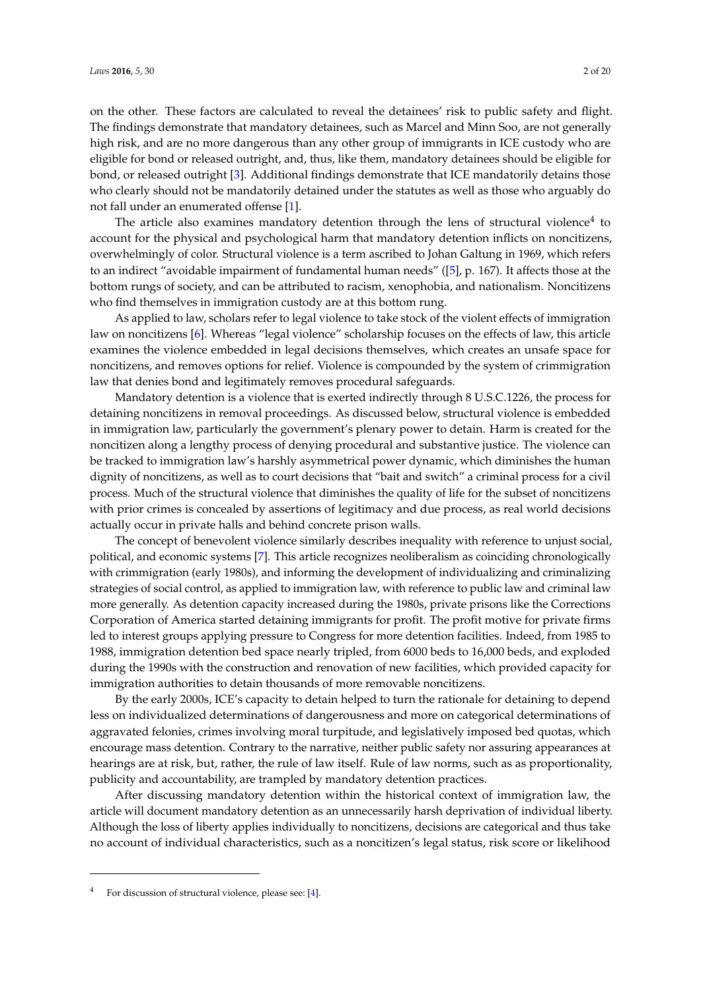on the other. These factors are calculated to reveal the detainees' risk to public safety and flight. The findings demonstrate that mandatory detainees, such as Marcel and Minn Soo, are not generally high risk, and are no more dangerous than any other group of immigrants in ICE custody who are eligible for bond or released outright, and, thus, like them, mandatory detainees should be eligible for bond, or released outright [\[3\]](#page-15-2). Additional findings demonstrate that ICE mandatorily detains those who clearly should not be mandatorily detained under the statutes as well as those who arguably do not fall under an enumerated offense [\[1\]](#page-15-0).

The article also examines mandatory detention through the lens of structural violence $^4$  to account for the physical and psychological harm that mandatory detention inflicts on noncitizens, overwhelmingly of color. Structural violence is a term ascribed to Johan Galtung in 1969, which refers to an indirect "avoidable impairment of fundamental human needs" ([\[5\]](#page-15-3), p. 167). It affects those at the bottom rungs of society, and can be attributed to racism, xenophobia, and nationalism. Noncitizens who find themselves in immigration custody are at this bottom rung.

As applied to law, scholars refer to legal violence to take stock of the violent effects of immigration law on noncitizens [\[6\]](#page-15-4). Whereas "legal violence" scholarship focuses on the effects of law, this article examines the violence embedded in legal decisions themselves, which creates an unsafe space for noncitizens, and removes options for relief. Violence is compounded by the system of crimmigration law that denies bond and legitimately removes procedural safeguards.

Mandatory detention is a violence that is exerted indirectly through 8 U.S.C.1226, the process for detaining noncitizens in removal proceedings. As discussed below, structural violence is embedded in immigration law, particularly the government's plenary power to detain. Harm is created for the noncitizen along a lengthy process of denying procedural and substantive justice. The violence can be tracked to immigration law's harshly asymmetrical power dynamic, which diminishes the human dignity of noncitizens, as well as to court decisions that "bait and switch" a criminal process for a civil process. Much of the structural violence that diminishes the quality of life for the subset of noncitizens with prior crimes is concealed by assertions of legitimacy and due process, as real world decisions actually occur in private halls and behind concrete prison walls.

The concept of benevolent violence similarly describes inequality with reference to unjust social, political, and economic systems [\[7\]](#page-15-5). This article recognizes neoliberalism as coinciding chronologically with crimmigration (early 1980s), and informing the development of individualizing and criminalizing strategies of social control, as applied to immigration law, with reference to public law and criminal law more generally. As detention capacity increased during the 1980s, private prisons like the Corrections Corporation of America started detaining immigrants for profit. The profit motive for private firms led to interest groups applying pressure to Congress for more detention facilities. Indeed, from 1985 to 1988, immigration detention bed space nearly tripled, from 6000 beds to 16,000 beds, and exploded during the 1990s with the construction and renovation of new facilities, which provided capacity for immigration authorities to detain thousands of more removable noncitizens.

By the early 2000s, ICE's capacity to detain helped to turn the rationale for detaining to depend less on individualized determinations of dangerousness and more on categorical determinations of aggravated felonies, crimes involving moral turpitude, and legislatively imposed bed quotas, which encourage mass detention. Contrary to the narrative, neither public safety nor assuring appearances at hearings are at risk, but, rather, the rule of law itself. Rule of law norms, such as as proportionality, publicity and accountability, are trampled by mandatory detention practices.

After discussing mandatory detention within the historical context of immigration law, the article will document mandatory detention as an unnecessarily harsh deprivation of individual liberty. Although the loss of liberty applies individually to noncitizens, decisions are categorical and thus take no account of individual characteristics, such as a noncitizen's legal status, risk score or likelihood

For discussion of structural violence, please see: [\[4\]](#page-15-6).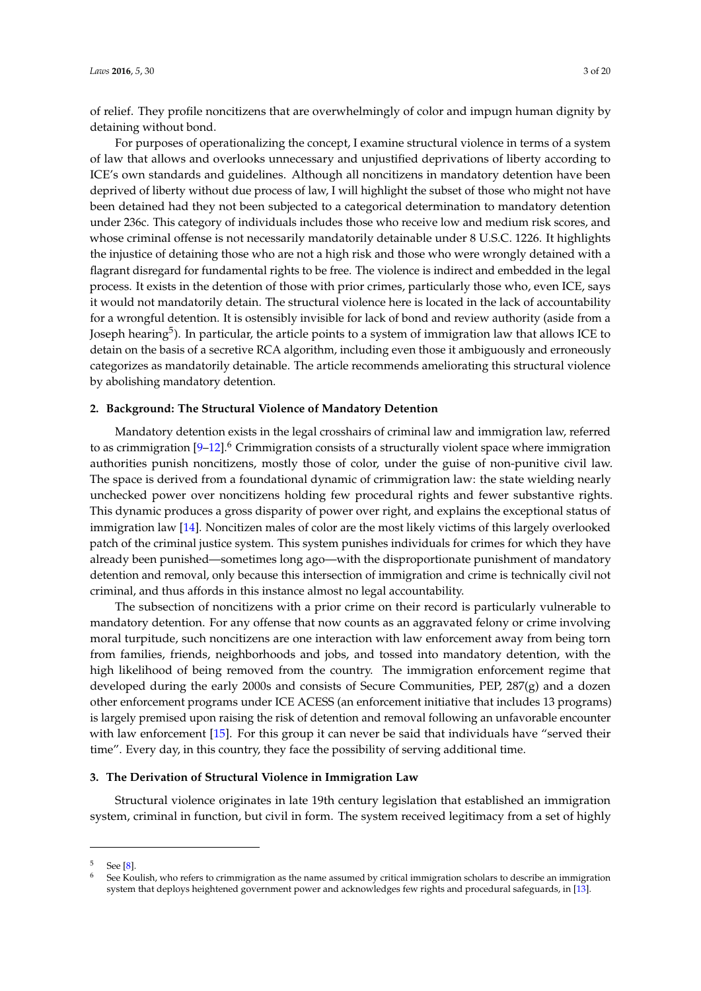of relief. They profile noncitizens that are overwhelmingly of color and impugn human dignity by detaining without bond.

For purposes of operationalizing the concept, I examine structural violence in terms of a system of law that allows and overlooks unnecessary and unjustified deprivations of liberty according to ICE's own standards and guidelines. Although all noncitizens in mandatory detention have been deprived of liberty without due process of law, I will highlight the subset of those who might not have been detained had they not been subjected to a categorical determination to mandatory detention under 236c. This category of individuals includes those who receive low and medium risk scores, and whose criminal offense is not necessarily mandatorily detainable under 8 U.S.C. 1226. It highlights the injustice of detaining those who are not a high risk and those who were wrongly detained with a flagrant disregard for fundamental rights to be free. The violence is indirect and embedded in the legal process. It exists in the detention of those with prior crimes, particularly those who, even ICE, says it would not mandatorily detain. The structural violence here is located in the lack of accountability for a wrongful detention. It is ostensibly invisible for lack of bond and review authority (aside from a Joseph hearing $^5$ ). In particular, the article points to a system of immigration law that allows ICE to detain on the basis of a secretive RCA algorithm, including even those it ambiguously and erroneously categorizes as mandatorily detainable. The article recommends ameliorating this structural violence by abolishing mandatory detention.

# **2. Background: The Structural Violence of Mandatory Detention**

Mandatory detention exists in the legal crosshairs of criminal law and immigration law, referred to as crimmigration  $[9-12]$  $[9-12]$ <sup>6</sup> Crimmigration consists of a structurally violent space where immigration authorities punish noncitizens, mostly those of color, under the guise of non-punitive civil law. The space is derived from a foundational dynamic of crimmigration law: the state wielding nearly unchecked power over noncitizens holding few procedural rights and fewer substantive rights. This dynamic produces a gross disparity of power over right, and explains the exceptional status of immigration law [\[14\]](#page-15-9). Noncitizen males of color are the most likely victims of this largely overlooked patch of the criminal justice system. This system punishes individuals for crimes for which they have already been punished—sometimes long ago—with the disproportionate punishment of mandatory detention and removal, only because this intersection of immigration and crime is technically civil not criminal, and thus affords in this instance almost no legal accountability.

The subsection of noncitizens with a prior crime on their record is particularly vulnerable to mandatory detention. For any offense that now counts as an aggravated felony or crime involving moral turpitude, such noncitizens are one interaction with law enforcement away from being torn from families, friends, neighborhoods and jobs, and tossed into mandatory detention, with the high likelihood of being removed from the country. The immigration enforcement regime that developed during the early 2000s and consists of Secure Communities, PEP, 287(g) and a dozen other enforcement programs under ICE ACESS (an enforcement initiative that includes 13 programs) is largely premised upon raising the risk of detention and removal following an unfavorable encounter with law enforcement [\[15\]](#page-15-10). For this group it can never be said that individuals have "served their time". Every day, in this country, they face the possibility of serving additional time.

# **3. The Derivation of Structural Violence in Immigration Law**

Structural violence originates in late 19th century legislation that established an immigration system, criminal in function, but civil in form. The system received legitimacy from a set of highly

See [\[8\]](#page-15-11).

<sup>6</sup> See Koulish, who refers to crimmigration as the name assumed by critical immigration scholars to describe an immigration system that deploys heightened government power and acknowledges few rights and procedural safeguards, in [\[13\]](#page-15-12).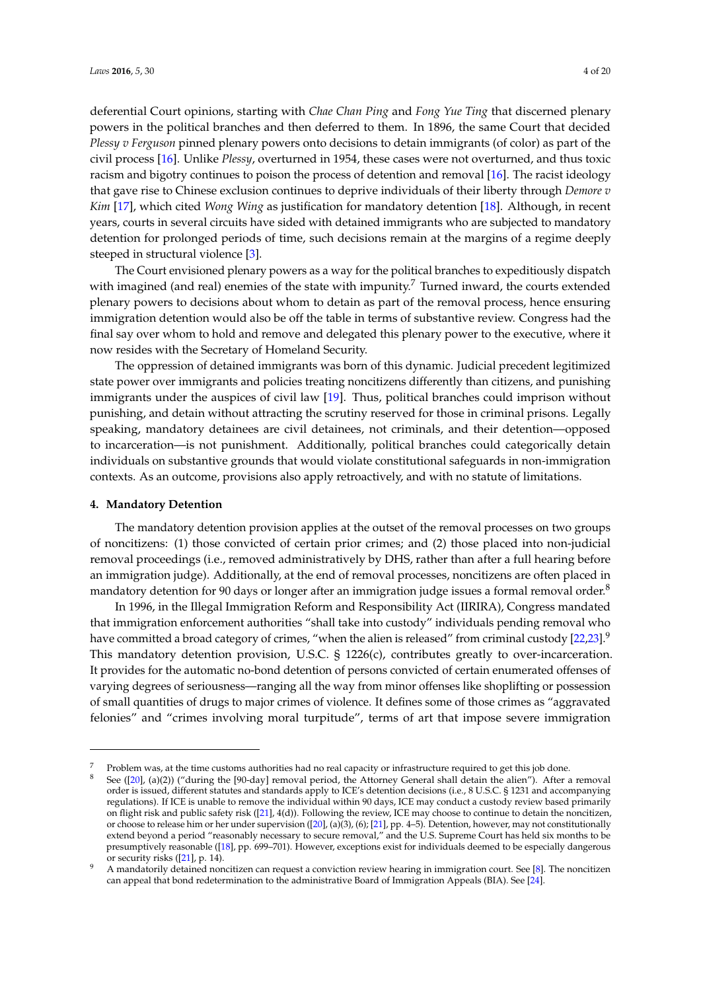deferential Court opinions, starting with *Chae Chan Ping* and *Fong Yue Ting* that discerned plenary powers in the political branches and then deferred to them. In 1896, the same Court that decided *Plessy v Ferguson* pinned plenary powers onto decisions to detain immigrants (of color) as part of the civil process [\[16\]](#page-15-13). Unlike *Plessy*, overturned in 1954, these cases were not overturned, and thus toxic racism and bigotry continues to poison the process of detention and removal [\[16\]](#page-15-13). The racist ideology that gave rise to Chinese exclusion continues to deprive individuals of their liberty through *Demore v Kim* [\[17\]](#page-15-14), which cited *Wong Wing* as justification for mandatory detention [\[18\]](#page-15-15). Although, in recent years, courts in several circuits have sided with detained immigrants who are subjected to mandatory detention for prolonged periods of time, such decisions remain at the margins of a regime deeply steeped in structural violence [\[3\]](#page-15-2).

The Court envisioned plenary powers as a way for the political branches to expeditiously dispatch with imagined (and real) enemies of the state with impunity.<sup>7</sup> Turned inward, the courts extended plenary powers to decisions about whom to detain as part of the removal process, hence ensuring immigration detention would also be off the table in terms of substantive review. Congress had the final say over whom to hold and remove and delegated this plenary power to the executive, where it now resides with the Secretary of Homeland Security.

The oppression of detained immigrants was born of this dynamic. Judicial precedent legitimized state power over immigrants and policies treating noncitizens differently than citizens, and punishing immigrants under the auspices of civil law [\[19\]](#page-15-16). Thus, political branches could imprison without punishing, and detain without attracting the scrutiny reserved for those in criminal prisons. Legally speaking, mandatory detainees are civil detainees, not criminals, and their detention—opposed to incarceration—is not punishment. Additionally, political branches could categorically detain individuals on substantive grounds that would violate constitutional safeguards in non-immigration contexts. As an outcome, provisions also apply retroactively, and with no statute of limitations.

#### **4. Mandatory Detention**

The mandatory detention provision applies at the outset of the removal processes on two groups of noncitizens: (1) those convicted of certain prior crimes; and (2) those placed into non-judicial removal proceedings (i.e., removed administratively by DHS, rather than after a full hearing before an immigration judge). Additionally, at the end of removal processes, noncitizens are often placed in mandatory detention for 90 days or longer after an immigration judge issues a formal removal order.<sup>8</sup>

In 1996, in the Illegal Immigration Reform and Responsibility Act (IIRIRA), Congress mandated that immigration enforcement authorities "shall take into custody" individuals pending removal who have committed a broad category of crimes, "when the alien is released" from criminal custody [\[22,](#page-15-17)[23\]](#page-15-18). $^9$ This mandatory detention provision, U.S.C. § 1226(c), contributes greatly to over-incarceration. It provides for the automatic no-bond detention of persons convicted of certain enumerated offenses of varying degrees of seriousness—ranging all the way from minor offenses like shoplifting or possession of small quantities of drugs to major crimes of violence. It defines some of those crimes as "aggravated felonies" and "crimes involving moral turpitude", terms of art that impose severe immigration

<sup>7</sup> Problem was, at the time customs authorities had no real capacity or infrastructure required to get this job done.

See ( $[20]$ , (a)(2)) ("during the  $[90$ -day] removal period, the Attorney General shall detain the alien"). After a removal order is issued, different statutes and standards apply to ICE's detention decisions (i.e., 8 U.S.C. § 1231 and accompanying regulations). If ICE is unable to remove the individual within 90 days, ICE may conduct a custody review based primarily on flight risk and public safety risk ([\[21\]](#page-15-20), 4(d)). Following the review, ICE may choose to continue to detain the noncitizen, or choose to release him or her under supervision ([\[20\]](#page-15-19), (a)(3), (6); [\[21\]](#page-15-20), pp. 4–5). Detention, however, may not constitutionally extend beyond a period "reasonably necessary to secure removal," and the U.S. Supreme Court has held six months to be presumptively reasonable ([\[18\]](#page-15-15), pp. 699–701). However, exceptions exist for individuals deemed to be especially dangerous or security risks ([\[21\]](#page-15-20), p. 14).

<sup>9</sup> A mandatorily detained noncitizen can request a conviction review hearing in immigration court. See [\[8\]](#page-15-11). The noncitizen can appeal that bond redetermination to the administrative Board of Immigration Appeals (BIA). See [\[24\]](#page-15-21).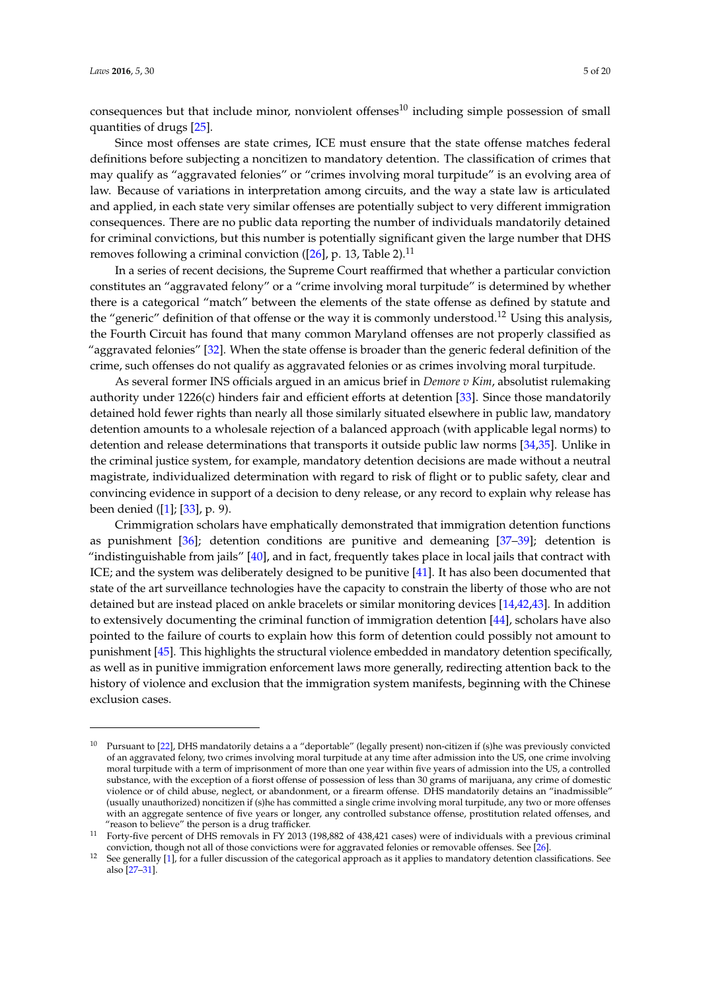consequences but that include minor, nonviolent offenses $10$  including simple possession of small quantities of drugs [\[25\]](#page-16-0).

Since most offenses are state crimes, ICE must ensure that the state offense matches federal definitions before subjecting a noncitizen to mandatory detention. The classification of crimes that may qualify as "aggravated felonies" or "crimes involving moral turpitude" is an evolving area of law. Because of variations in interpretation among circuits, and the way a state law is articulated and applied, in each state very similar offenses are potentially subject to very different immigration consequences. There are no public data reporting the number of individuals mandatorily detained for criminal convictions, but this number is potentially significant given the large number that DHS removes following a criminal conviction ( $[26]$ , p. 13, Table 2).<sup>11</sup>

In a series of recent decisions, the Supreme Court reaffirmed that whether a particular conviction constitutes an "aggravated felony" or a "crime involving moral turpitude" is determined by whether there is a categorical "match" between the elements of the state offense as defined by statute and the "generic" definition of that offense or the way it is commonly understood.<sup>12</sup> Using this analysis, the Fourth Circuit has found that many common Maryland offenses are not properly classified as "aggravated felonies" [\[32\]](#page-16-2). When the state offense is broader than the generic federal definition of the crime, such offenses do not qualify as aggravated felonies or as crimes involving moral turpitude.

As several former INS officials argued in an amicus brief in *Demore v Kim*, absolutist rulemaking authority under 1226(c) hinders fair and efficient efforts at detention [\[33\]](#page-16-3). Since those mandatorily detained hold fewer rights than nearly all those similarly situated elsewhere in public law, mandatory detention amounts to a wholesale rejection of a balanced approach (with applicable legal norms) to detention and release determinations that transports it outside public law norms [\[34](#page-16-4)[,35\]](#page-16-5). Unlike in the criminal justice system, for example, mandatory detention decisions are made without a neutral magistrate, individualized determination with regard to risk of flight or to public safety, clear and convincing evidence in support of a decision to deny release, or any record to explain why release has been denied ([\[1\]](#page-15-0); [\[33\]](#page-16-3), p. 9).

Crimmigration scholars have emphatically demonstrated that immigration detention functions as punishment [\[36\]](#page-16-6); detention conditions are punitive and demeaning [\[37–](#page-16-7)[39\]](#page-16-8); detention is "indistinguishable from jails" [\[40\]](#page-16-9), and in fact, frequently takes place in local jails that contract with ICE; and the system was deliberately designed to be punitive [\[41\]](#page-16-10). It has also been documented that state of the art surveillance technologies have the capacity to constrain the liberty of those who are not detained but are instead placed on ankle bracelets or similar monitoring devices [\[14,](#page-15-9)[42](#page-16-11)[,43\]](#page-16-12). In addition to extensively documenting the criminal function of immigration detention [\[44\]](#page-16-13), scholars have also pointed to the failure of courts to explain how this form of detention could possibly not amount to punishment [\[45\]](#page-16-14). This highlights the structural violence embedded in mandatory detention specifically, as well as in punitive immigration enforcement laws more generally, redirecting attention back to the history of violence and exclusion that the immigration system manifests, beginning with the Chinese exclusion cases.

<sup>10</sup> Pursuant to [\[22\]](#page-15-17), DHS mandatorily detains a a "deportable" (legally present) non-citizen if (s)he was previously convicted of an aggravated felony, two crimes involving moral turpitude at any time after admission into the US, one crime involving moral turpitude with a term of imprisonment of more than one year within five years of admission into the US, a controlled substance, with the exception of a fiorst offense of possession of less than 30 grams of marijuana, any crime of domestic violence or of child abuse, neglect, or abandonment, or a firearm offense. DHS mandatorily detains an "inadmissible" (usually unauthorized) noncitizen if (s)he has committed a single crime involving moral turpitude, any two or more offenses with an aggregate sentence of five years or longer, any controlled substance offense, prostitution related offenses, and "reason to believe" the person is a drug trafficker.

<sup>11</sup> Forty-five percent of DHS removals in FY 2013 (198,882 of 438,421 cases) were of individuals with a previous criminal conviction, though not all of those convictions were for aggravated felonies or removable offenses. See [\[26\]](#page-16-1).

<sup>12</sup> See generally [\[1\]](#page-15-0), for a fuller discussion of the categorical approach as it applies to mandatory detention classifications. See also [\[27](#page-16-15)[–31\]](#page-16-16).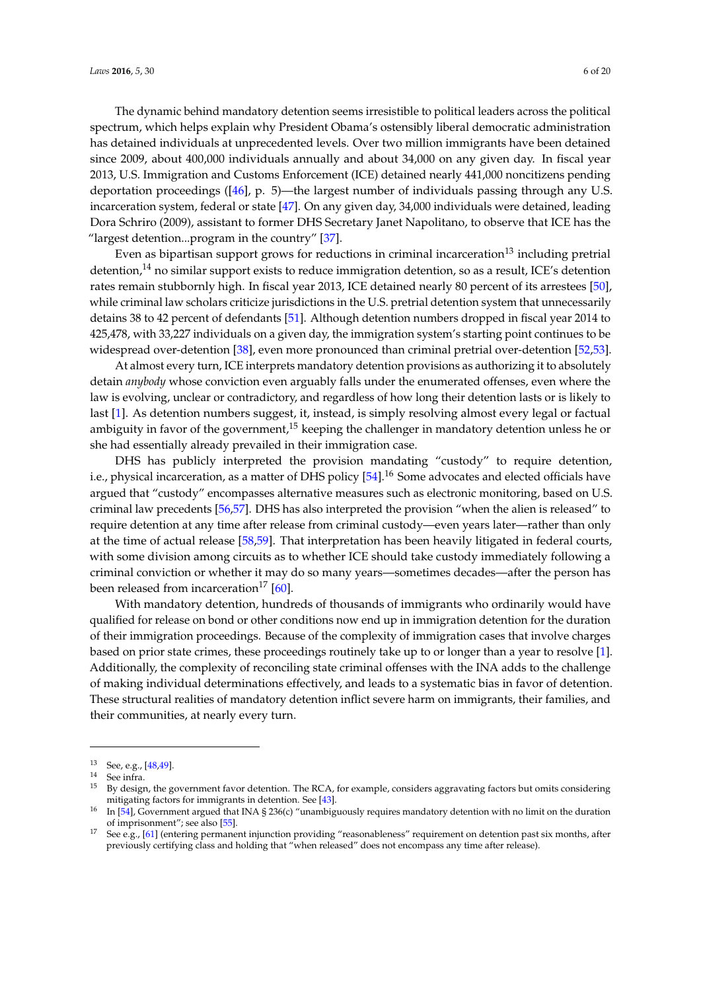The dynamic behind mandatory detention seems irresistible to political leaders across the political spectrum, which helps explain why President Obama's ostensibly liberal democratic administration has detained individuals at unprecedented levels. Over two million immigrants have been detained since 2009, about 400,000 individuals annually and about 34,000 on any given day. In fiscal year 2013, U.S. Immigration and Customs Enforcement (ICE) detained nearly 441,000 noncitizens pending deportation proceedings ([\[46\]](#page-16-17), p. 5)—the largest number of individuals passing through any U.S. incarceration system, federal or state [\[47\]](#page-16-18). On any given day, 34,000 individuals were detained, leading Dora Schriro (2009), assistant to former DHS Secretary Janet Napolitano, to observe that ICE has the "largest detention...program in the country"  $[37]$ .

Even as bipartisan support grows for reductions in criminal incarceration<sup>13</sup> including pretrial detention,<sup>14</sup> no similar support exists to reduce immigration detention, so as a result, ICE's detention rates remain stubbornly high. In fiscal year 2013, ICE detained nearly 80 percent of its arrestees [\[50\]](#page-16-19), while criminal law scholars criticize jurisdictions in the U.S. pretrial detention system that unnecessarily detains 38 to 42 percent of defendants [\[51\]](#page-17-0). Although detention numbers dropped in fiscal year 2014 to 425,478, with 33,227 individuals on a given day, the immigration system's starting point continues to be widespread over-detention [\[38\]](#page-16-20), even more pronounced than criminal pretrial over-detention [\[52](#page-17-1)[,53\]](#page-17-2).

At almost every turn, ICE interprets mandatory detention provisions as authorizing it to absolutely detain *anybody* whose conviction even arguably falls under the enumerated offenses, even where the law is evolving, unclear or contradictory, and regardless of how long their detention lasts or is likely to last [\[1\]](#page-15-0). As detention numbers suggest, it, instead, is simply resolving almost every legal or factual ambiguity in favor of the government,<sup>15</sup> keeping the challenger in mandatory detention unless he or she had essentially already prevailed in their immigration case.

DHS has publicly interpreted the provision mandating "custody" to require detention, i.e., physical incarceration, as a matter of DHS policy [\[54\]](#page-17-3).<sup>16</sup> Some advocates and elected officials have argued that "custody" encompasses alternative measures such as electronic monitoring, based on U.S. criminal law precedents [\[56,](#page-17-4)[57\]](#page-17-5). DHS has also interpreted the provision "when the alien is released" to require detention at any time after release from criminal custody—even years later—rather than only at the time of actual release [\[58,](#page-17-6)[59\]](#page-17-7). That interpretation has been heavily litigated in federal courts, with some division among circuits as to whether ICE should take custody immediately following a criminal conviction or whether it may do so many years—sometimes decades—after the person has been released from incarceration<sup>17</sup> [\[60\]](#page-17-8).

With mandatory detention, hundreds of thousands of immigrants who ordinarily would have qualified for release on bond or other conditions now end up in immigration detention for the duration of their immigration proceedings. Because of the complexity of immigration cases that involve charges based on prior state crimes, these proceedings routinely take up to or longer than a year to resolve [\[1\]](#page-15-0). Additionally, the complexity of reconciling state criminal offenses with the INA adds to the challenge of making individual determinations effectively, and leads to a systematic bias in favor of detention. These structural realities of mandatory detention inflict severe harm on immigrants, their families, and their communities, at nearly every turn.

<sup>13</sup> See, e.g., [\[48](#page-16-21)[,49\]](#page-16-22).

<sup>14</sup> See infra.

<sup>&</sup>lt;sup>15</sup> By design, the government favor detention. The RCA, for example, considers aggravating factors but omits considering mitigating factors for immigrants in detention. See [\[43\]](#page-16-12).

<sup>&</sup>lt;sup>16</sup> In [\[54\]](#page-17-3), Government argued that INA § 236(c) "unambiguously requires mandatory detention with no limit on the duration of imprisonment"; see also [\[55\]](#page-17-9).

<sup>&</sup>lt;sup>17</sup> See e.g., [\[61\]](#page-17-10) (entering permanent injunction providing "reasonableness" requirement on detention past six months, after previously certifying class and holding that "when released" does not encompass any time after release).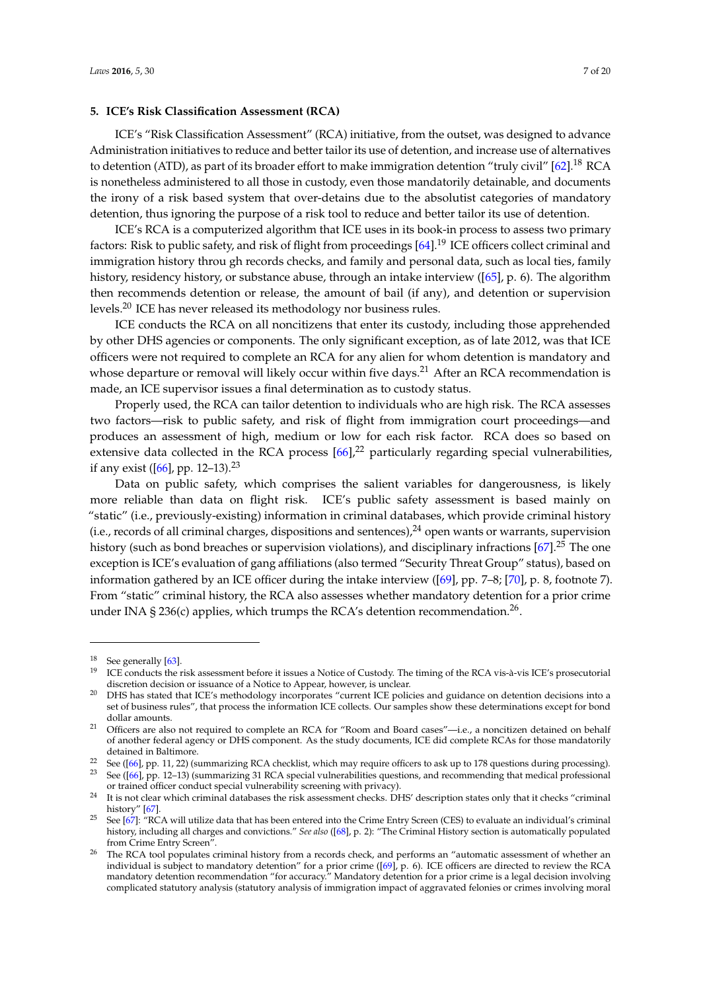# **5. ICE's Risk Classification Assessment (RCA)**

ICE's "Risk Classification Assessment" (RCA) initiative, from the outset, was designed to advance Administration initiatives to reduce and better tailor its use of detention, and increase use of alternatives to detention (ATD), as part of its broader effort to make immigration detention "truly civil"  $[62]$ .<sup>18</sup> RCA is nonetheless administered to all those in custody, even those mandatorily detainable, and documents the irony of a risk based system that over-detains due to the absolutist categories of mandatory detention, thus ignoring the purpose of a risk tool to reduce and better tailor its use of detention.

ICE's RCA is a computerized algorithm that ICE uses in its book-in process to assess two primary factors: Risk to public safety, and risk of flight from proceedings [\[64\]](#page-17-12).<sup>19</sup> ICE officers collect criminal and immigration history throu gh records checks, and family and personal data, such as local ties, family history, residency history, or substance abuse, through an intake interview ([\[65\]](#page-17-13), p. 6). The algorithm then recommends detention or release, the amount of bail (if any), and detention or supervision levels.<sup>20</sup> ICE has never released its methodology nor business rules.

ICE conducts the RCA on all noncitizens that enter its custody, including those apprehended by other DHS agencies or components. The only significant exception, as of late 2012, was that ICE officers were not required to complete an RCA for any alien for whom detention is mandatory and whose departure or removal will likely occur within five days.<sup>21</sup> After an RCA recommendation is made, an ICE supervisor issues a final determination as to custody status.

Properly used, the RCA can tailor detention to individuals who are high risk. The RCA assesses two factors—risk to public safety, and risk of flight from immigration court proceedings—and produces an assessment of high, medium or low for each risk factor. RCA does so based on extensive data collected in the RCA process  $[66]$ ,<sup>22</sup> particularly regarding special vulnerabilities, if any exist ([\[66\]](#page-17-14), pp. 12–13).<sup>23</sup>

Data on public safety, which comprises the salient variables for dangerousness, is likely more reliable than data on flight risk. ICE's public safety assessment is based mainly on "static" (i.e., previously-existing) information in criminal databases, which provide criminal history (i.e., records of all criminal charges, dispositions and sentences),  $^{24}$  open wants or warrants, supervision history (such as bond breaches or supervision violations), and disciplinary infractions [\[67\]](#page-17-15).<sup>25</sup> The one exception is ICE's evaluation of gang affiliations (also termed "Security Threat Group" status), based on information gathered by an ICE officer during the intake interview ([\[69\]](#page-17-16), pp. 7–8; [\[70\]](#page-17-17), p. 8, footnote 7). From "static" criminal history, the RCA also assesses whether mandatory detention for a prior crime under INA § 236(c) applies, which trumps the RCA's detention recommendation.<sup>26</sup>.

<sup>&</sup>lt;sup>18</sup> See generally  $[63]$ .

<sup>19</sup> ICE conducts the risk assessment before it issues a Notice of Custody. The timing of the RCA vis-à-vis ICE's prosecutorial discretion decision or issuance of a Notice to Appear, however, is unclear.

<sup>20</sup> DHS has stated that ICE's methodology incorporates "current ICE policies and guidance on detention decisions into a set of business rules", that process the information ICE collects. Our samples show these determinations except for bond dollar amounts.

<sup>&</sup>lt;sup>21</sup> Officers are also not required to complete an RCA for "Room and Board cases"—i.e., a noncitizen detained on behalf of another federal agency or DHS component. As the study documents, ICE did complete RCAs for those mandatorily detained in Baltimore.

<sup>22</sup> See ([\[66\]](#page-17-14), pp. 11, 22) (summarizing RCA checklist, which may require officers to ask up to 178 questions during processing). <sup>23</sup> See ([\[66\]](#page-17-14), pp. 12–13) (summarizing 31 RCA special vulnerabilities questions, and recommending that medical professional

or trained officer conduct special vulnerability screening with privacy).

<sup>&</sup>lt;sup>24</sup> It is not clear which criminal databases the risk assessment checks. DHS' description states only that it checks "criminal" history" [\[67\]](#page-17-15).

<sup>&</sup>lt;sup>25</sup> See  $[67]$ : "RCA will utilize data that has been entered into the Crime Entry Screen (CES) to evaluate an individual's criminal history, including all charges and convictions." *See also* ([\[68\]](#page-17-19), p. 2): "The Criminal History section is automatically populated from Crime Entry Screen".

The RCA tool populates criminal history from a records check, and performs an "automatic assessment of whether an individual is subject to mandatory detention" for a prior crime ([\[69\]](#page-17-16), p. 6). ICE officers are directed to review the RCA mandatory detention recommendation "for accuracy." Mandatory detention for a prior crime is a legal decision involving complicated statutory analysis (statutory analysis of immigration impact of aggravated felonies or crimes involving moral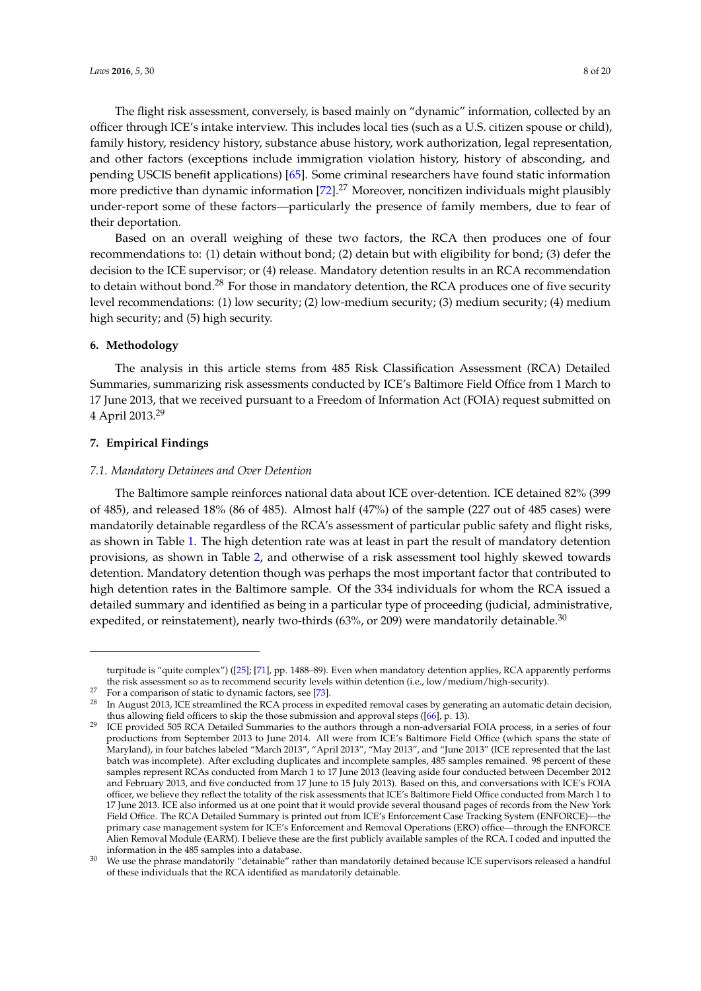The flight risk assessment, conversely, is based mainly on "dynamic" information, collected by an officer through ICE's intake interview. This includes local ties (such as a U.S. citizen spouse or child), family history, residency history, substance abuse history, work authorization, legal representation, and other factors (exceptions include immigration violation history, history of absconding, and pending USCIS benefit applications) [\[65\]](#page-17-13). Some criminal researchers have found static information more predictive than dynamic information [\[72\]](#page-18-0).<sup>27</sup> Moreover, noncitizen individuals might plausibly under-report some of these factors—particularly the presence of family members, due to fear of their deportation.

Based on an overall weighing of these two factors, the RCA then produces one of four recommendations to: (1) detain without bond; (2) detain but with eligibility for bond; (3) defer the decision to the ICE supervisor; or (4) release. Mandatory detention results in an RCA recommendation to detain without bond.<sup>28</sup> For those in mandatory detention, the RCA produces one of five security level recommendations: (1) low security; (2) low-medium security; (3) medium security; (4) medium high security; and (5) high security.

#### **6. Methodology**

The analysis in this article stems from 485 Risk Classification Assessment (RCA) Detailed Summaries, summarizing risk assessments conducted by ICE's Baltimore Field Office from 1 March to 17 June 2013, that we received pursuant to a Freedom of Information Act (FOIA) request submitted on 4 April 2013.<sup>29</sup>

# **7. Empirical Findings**

#### *7.1. Mandatory Detainees and Over Detention*

The Baltimore sample reinforces national data about ICE over-detention. ICE detained 82% (399 of 485), and released 18% (86 of 485). Almost half (47%) of the sample (227 out of 485 cases) were mandatorily detainable regardless of the RCA's assessment of particular public safety and flight risks, as shown in Table [1.](#page-8-0) The high detention rate was at least in part the result of mandatory detention provisions, as shown in Table [2,](#page-8-1) and otherwise of a risk assessment tool highly skewed towards detention. Mandatory detention though was perhaps the most important factor that contributed to high detention rates in the Baltimore sample. Of the 334 individuals for whom the RCA issued a detailed summary and identified as being in a particular type of proceeding (judicial, administrative, expedited, or reinstatement), nearly two-thirds  $(63\%, or 209)$  were mandatorily detainable.<sup>30</sup>

turpitude is "quite complex") ([\[25\]](#page-16-0); [\[71\]](#page-17-20), pp. 1488–89). Even when mandatory detention applies, RCA apparently performs the risk assessment so as to recommend security levels within detention (i.e., low/medium/high-security).

<sup>&</sup>lt;sup>27</sup> For a comparison of static to dynamic factors, see [\[73\]](#page-18-1).

<sup>&</sup>lt;sup>28</sup> In August 2013, ICE streamlined the RCA process in expedited removal cases by generating an automatic detain decision, thus allowing field officers to skip the those submission and approval steps ([\[66\]](#page-17-14), p. 13).

<sup>&</sup>lt;sup>29</sup> ICE provided 505 RCA Detailed Summaries to the authors through a non-adversarial FOIA process, in a series of four productions from September 2013 to June 2014. All were from ICE's Baltimore Field Office (which spans the state of Maryland), in four batches labeled "March 2013", "April 2013", "May 2013", and "June 2013" (ICE represented that the last batch was incomplete). After excluding duplicates and incomplete samples, 485 samples remained. 98 percent of these samples represent RCAs conducted from March 1 to 17 June 2013 (leaving aside four conducted between December 2012 and February 2013, and five conducted from 17 June to 15 July 2013). Based on this, and conversations with ICE's FOIA officer, we believe they reflect the totality of the risk assessments that ICE's Baltimore Field Office conducted from March 1 to 17 June 2013. ICE also informed us at one point that it would provide several thousand pages of records from the New York Field Office. The RCA Detailed Summary is printed out from ICE's Enforcement Case Tracking System (ENFORCE)—the primary case management system for ICE's Enforcement and Removal Operations (ERO) office—through the ENFORCE Alien Removal Module (EARM). I believe these are the first publicly available samples of the RCA. I coded and inputted the information in the 485 samples into a database.

<sup>30</sup> We use the phrase mandatorily "detainable" rather than mandatorily detained because ICE supervisors released a handful of these individuals that the RCA identified as mandatorily detainable.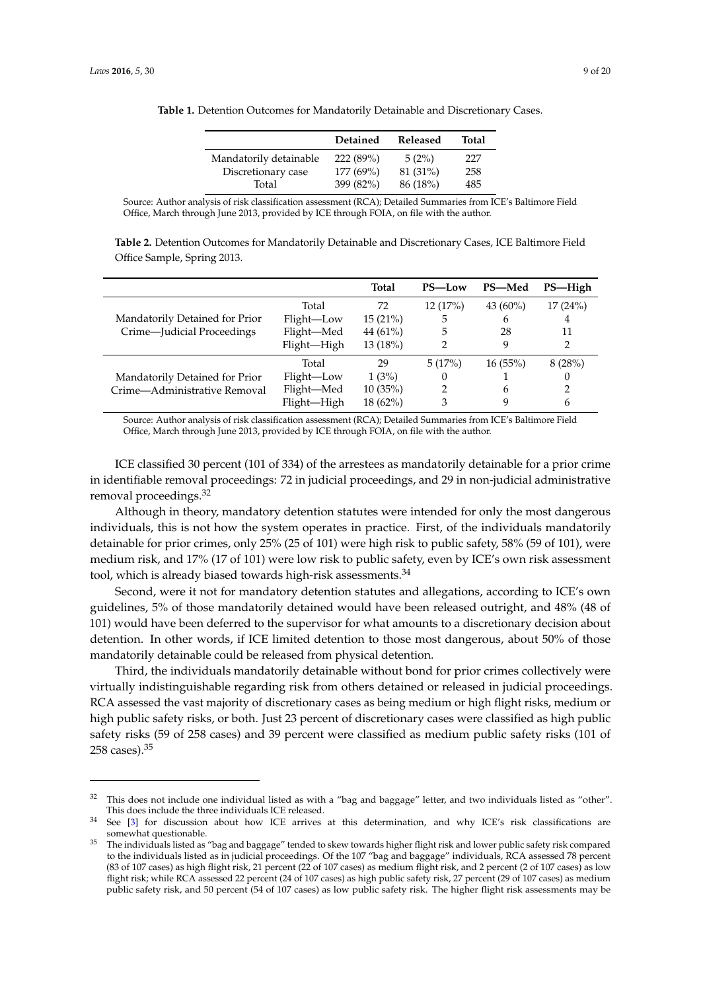|                        | Detained  | Released | Total |
|------------------------|-----------|----------|-------|
| Mandatorily detainable | 222(89%)  | 5(2%)    | 227   |
| Discretionary case     | 177 (69%) | 81 (31%) | 258   |
| Total                  | 399 (82%) | 86 (18%) | 485   |

<span id="page-8-0"></span>**Table 1.** Detention Outcomes for Mandatorily Detainable and Discretionary Cases.

Source: Author analysis of risk classification assessment (RCA); Detailed Summaries from ICE's Baltimore Field Office, March through June 2013, provided by ICE through FOIA, on file with the author.

<span id="page-8-1"></span>

| Table 2. Detention Outcomes for Mandatorily Detainable and Discretionary Cases, ICE Baltimore Field |  |
|-----------------------------------------------------------------------------------------------------|--|
| Office Sample, Spring 2013.                                                                         |  |

|                                                                |             | <b>Total</b> | PS-Low   | PS-Med      | PS-High |
|----------------------------------------------------------------|-------------|--------------|----------|-------------|---------|
| Mandatorily Detained for Prior<br>Crime-Judicial Proceedings   | Total       | 72           | 12(17%)  | 43 $(60\%)$ | 17(24%) |
|                                                                | Flight-Low  | 15(21%)      | 5        | 6           | 4       |
|                                                                | Flight-Med  | 44 (61%)     | 5        | 28          | 11      |
|                                                                | Flight-High | 13(18%)      | 2        | 9           | 2       |
| Mandatorily Detained for Prior<br>Crime—Administrative Removal | Total       | 29           | 5(17%)   | 16(55%)     | 8(28%)  |
|                                                                | Flight-Low  | 1(3%)        | $\theta$ |             | 0       |
|                                                                | Flight-Med  | 10(35%)      | 2        | 6           | 2       |
|                                                                | Flight-High | 18 (62%)     | 3        |             | 6       |

Source: Author analysis of risk classification assessment (RCA); Detailed Summaries from ICE's Baltimore Field Office, March through June 2013, provided by ICE through FOIA, on file with the author.

ICE classified 30 percent (101 of 334) of the arrestees as mandatorily detainable for a prior crime in identifiable removal proceedings: 72 in judicial proceedings, and 29 in non-judicial administrative removal proceedings.<sup>32</sup>

Although in theory, mandatory detention statutes were intended for only the most dangerous individuals, this is not how the system operates in practice. First, of the individuals mandatorily detainable for prior crimes, only 25% (25 of 101) were high risk to public safety, 58% (59 of 101), were medium risk, and 17% (17 of 101) were low risk to public safety, even by ICE's own risk assessment tool, which is already biased towards high-risk assessments.<sup>34</sup>

Second, were it not for mandatory detention statutes and allegations, according to ICE's own guidelines, 5% of those mandatorily detained would have been released outright, and 48% (48 of 101) would have been deferred to the supervisor for what amounts to a discretionary decision about detention. In other words, if ICE limited detention to those most dangerous, about 50% of those mandatorily detainable could be released from physical detention.

Third, the individuals mandatorily detainable without bond for prior crimes collectively were virtually indistinguishable regarding risk from others detained or released in judicial proceedings. RCA assessed the vast majority of discretionary cases as being medium or high flight risks, medium or high public safety risks, or both. Just 23 percent of discretionary cases were classified as high public safety risks (59 of 258 cases) and 39 percent were classified as medium public safety risks (101 of 258 cases).<sup>35</sup>

 $32$  This does not include one individual listed as with a "bag and baggage" letter, and two individuals listed as "other". This does include the three individuals ICE released.

<sup>&</sup>lt;sup>34</sup> See [\[3\]](#page-15-2) for discussion about how ICE arrives at this determination, and why ICE's risk classifications are somewhat questionable.

<sup>&</sup>lt;sup>35</sup> The individuals listed as "bag and baggage" tended to skew towards higher flight risk and lower public safety risk compared to the individuals listed as in judicial proceedings. Of the 107 "bag and baggage" individuals, RCA assessed 78 percent (83 of 107 cases) as high flight risk, 21 percent (22 of 107 cases) as medium flight risk, and 2 percent (2 of 107 cases) as low flight risk; while RCA assessed 22 percent (24 of 107 cases) as high public safety risk, 27 percent (29 of 107 cases) as medium public safety risk, and 50 percent (54 of 107 cases) as low public safety risk. The higher flight risk assessments may be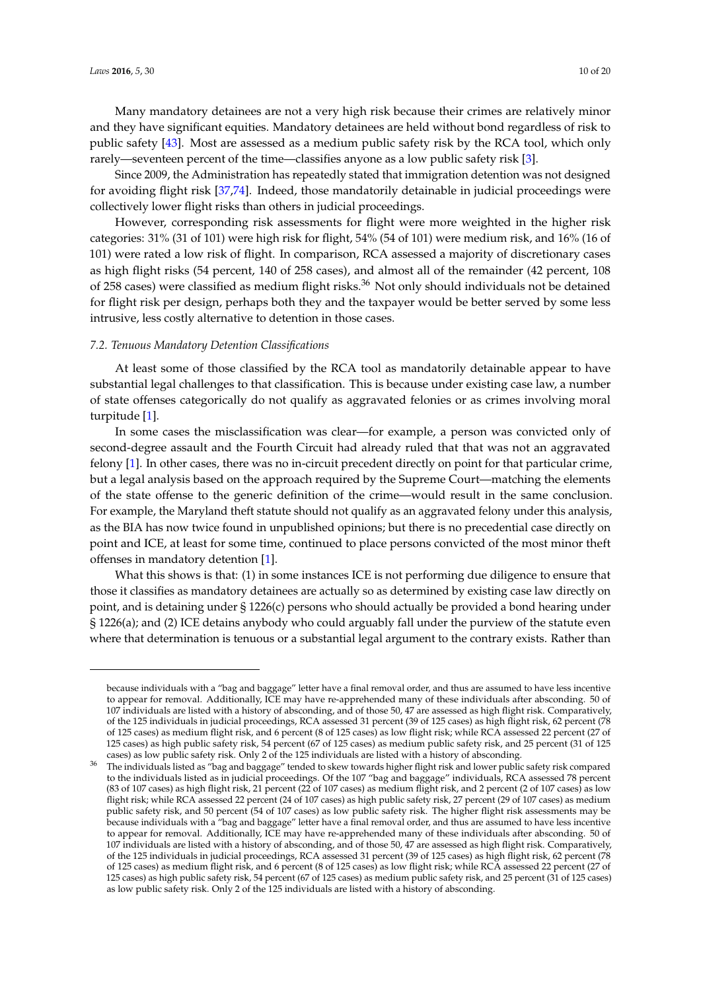Many mandatory detainees are not a very high risk because their crimes are relatively minor and they have significant equities. Mandatory detainees are held without bond regardless of risk to public safety [\[43\]](#page-16-12). Most are assessed as a medium public safety risk by the RCA tool, which only rarely—seventeen percent of the time—classifies anyone as a low public safety risk [\[3\]](#page-15-2).

Since 2009, the Administration has repeatedly stated that immigration detention was not designed for avoiding flight risk [\[37,](#page-16-7)[74\]](#page-18-2). Indeed, those mandatorily detainable in judicial proceedings were collectively lower flight risks than others in judicial proceedings.

However, corresponding risk assessments for flight were more weighted in the higher risk categories: 31% (31 of 101) were high risk for flight, 54% (54 of 101) were medium risk, and 16% (16 of 101) were rated a low risk of flight. In comparison, RCA assessed a majority of discretionary cases as high flight risks (54 percent, 140 of 258 cases), and almost all of the remainder (42 percent, 108 of 258 cases) were classified as medium flight risks.<sup>36</sup> Not only should individuals not be detained for flight risk per design, perhaps both they and the taxpayer would be better served by some less intrusive, less costly alternative to detention in those cases.

# *7.2. Tenuous Mandatory Detention Classifications*

At least some of those classified by the RCA tool as mandatorily detainable appear to have substantial legal challenges to that classification. This is because under existing case law, a number of state offenses categorically do not qualify as aggravated felonies or as crimes involving moral turpitude [\[1\]](#page-15-0).

In some cases the misclassification was clear—for example, a person was convicted only of second-degree assault and the Fourth Circuit had already ruled that that was not an aggravated felony [\[1\]](#page-15-0). In other cases, there was no in-circuit precedent directly on point for that particular crime, but a legal analysis based on the approach required by the Supreme Court—matching the elements of the state offense to the generic definition of the crime—would result in the same conclusion. For example, the Maryland theft statute should not qualify as an aggravated felony under this analysis, as the BIA has now twice found in unpublished opinions; but there is no precedential case directly on point and ICE, at least for some time, continued to place persons convicted of the most minor theft offenses in mandatory detention [\[1\]](#page-15-0).

What this shows is that: (1) in some instances ICE is not performing due diligence to ensure that those it classifies as mandatory detainees are actually so as determined by existing case law directly on point, and is detaining under § 1226(c) persons who should actually be provided a bond hearing under § 1226(a); and (2) ICE detains anybody who could arguably fall under the purview of the statute even where that determination is tenuous or a substantial legal argument to the contrary exists. Rather than

because individuals with a "bag and baggage" letter have a final removal order, and thus are assumed to have less incentive to appear for removal. Additionally, ICE may have re-apprehended many of these individuals after absconding. 50 of 107 individuals are listed with a history of absconding, and of those 50, 47 are assessed as high flight risk. Comparatively, of the 125 individuals in judicial proceedings, RCA assessed 31 percent (39 of 125 cases) as high flight risk, 62 percent (78 of 125 cases) as medium flight risk, and 6 percent (8 of 125 cases) as low flight risk; while RCA assessed 22 percent (27 of 125 cases) as high public safety risk, 54 percent (67 of 125 cases) as medium public safety risk, and 25 percent (31 of 125 cases) as low public safety risk. Only 2 of the 125 individuals are listed with a history of absconding.

<sup>36</sup> The individuals listed as "bag and baggage" tended to skew towards higher flight risk and lower public safety risk compared to the individuals listed as in judicial proceedings. Of the 107 "bag and baggage" individuals, RCA assessed 78 percent (83 of 107 cases) as high flight risk, 21 percent (22 of 107 cases) as medium flight risk, and 2 percent (2 of 107 cases) as low flight risk; while RCA assessed 22 percent (24 of 107 cases) as high public safety risk, 27 percent (29 of 107 cases) as medium public safety risk, and 50 percent (54 of 107 cases) as low public safety risk. The higher flight risk assessments may be because individuals with a "bag and baggage" letter have a final removal order, and thus are assumed to have less incentive to appear for removal. Additionally, ICE may have re-apprehended many of these individuals after absconding. 50 of 107 individuals are listed with a history of absconding, and of those 50, 47 are assessed as high flight risk. Comparatively, of the 125 individuals in judicial proceedings, RCA assessed 31 percent (39 of 125 cases) as high flight risk, 62 percent (78 of 125 cases) as medium flight risk, and 6 percent (8 of 125 cases) as low flight risk; while RCA assessed 22 percent (27 of 125 cases) as high public safety risk, 54 percent (67 of 125 cases) as medium public safety risk, and 25 percent (31 of 125 cases) as low public safety risk. Only 2 of the 125 individuals are listed with a history of absconding.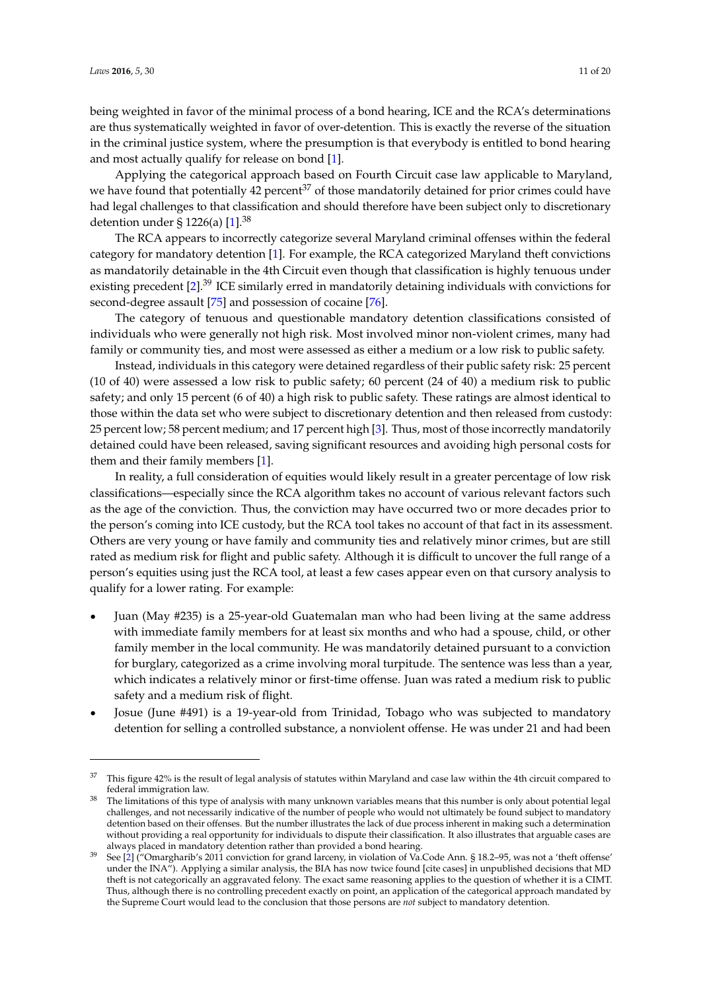being weighted in favor of the minimal process of a bond hearing, ICE and the RCA's determinations are thus systematically weighted in favor of over-detention. This is exactly the reverse of the situation in the criminal justice system, where the presumption is that everybody is entitled to bond hearing and most actually qualify for release on bond [\[1\]](#page-15-0).

Applying the categorical approach based on Fourth Circuit case law applicable to Maryland, we have found that potentially 42 percent<sup>37</sup> of those mandatorily detained for prior crimes could have had legal challenges to that classification and should therefore have been subject only to discretionary detention under § 1226(a)  $[1]$ .<sup>38</sup>

The RCA appears to incorrectly categorize several Maryland criminal offenses within the federal category for mandatory detention [\[1\]](#page-15-0). For example, the RCA categorized Maryland theft convictions as mandatorily detainable in the 4th Circuit even though that classification is highly tenuous under existing precedent [\[2\]](#page-15-1).<sup>39</sup> ICE similarly erred in mandatorily detaining individuals with convictions for second-degree assault [\[75\]](#page-18-3) and possession of cocaine [\[76\]](#page-18-4).

The category of tenuous and questionable mandatory detention classifications consisted of individuals who were generally not high risk. Most involved minor non-violent crimes, many had family or community ties, and most were assessed as either a medium or a low risk to public safety.

Instead, individuals in this category were detained regardless of their public safety risk: 25 percent (10 of 40) were assessed a low risk to public safety; 60 percent (24 of 40) a medium risk to public safety; and only 15 percent (6 of 40) a high risk to public safety. These ratings are almost identical to those within the data set who were subject to discretionary detention and then released from custody: 25 percent low; 58 percent medium; and 17 percent high [\[3\]](#page-15-2). Thus, most of those incorrectly mandatorily detained could have been released, saving significant resources and avoiding high personal costs for them and their family members [\[1\]](#page-15-0).

In reality, a full consideration of equities would likely result in a greater percentage of low risk classifications—especially since the RCA algorithm takes no account of various relevant factors such as the age of the conviction. Thus, the conviction may have occurred two or more decades prior to the person's coming into ICE custody, but the RCA tool takes no account of that fact in its assessment. Others are very young or have family and community ties and relatively minor crimes, but are still rated as medium risk for flight and public safety. Although it is difficult to uncover the full range of a person's equities using just the RCA tool, at least a few cases appear even on that cursory analysis to qualify for a lower rating. For example:

- ' Juan (May #235) is a 25-year-old Guatemalan man who had been living at the same address with immediate family members for at least six months and who had a spouse, child, or other family member in the local community. He was mandatorily detained pursuant to a conviction for burglary, categorized as a crime involving moral turpitude. The sentence was less than a year, which indicates a relatively minor or first-time offense. Juan was rated a medium risk to public safety and a medium risk of flight.
- ' Josue (June #491) is a 19-year-old from Trinidad, Tobago who was subjected to mandatory detention for selling a controlled substance, a nonviolent offense. He was under 21 and had been

<sup>37</sup> This figure 42% is the result of legal analysis of statutes within Maryland and case law within the 4th circuit compared to federal immigration law.

<sup>38</sup> The limitations of this type of analysis with many unknown variables means that this number is only about potential legal challenges, and not necessarily indicative of the number of people who would not ultimately be found subject to mandatory detention based on their offenses. But the number illustrates the lack of due process inherent in making such a determination without providing a real opportunity for individuals to dispute their classification. It also illustrates that arguable cases are always placed in mandatory detention rather than provided a bond hearing.

<sup>39</sup> See [\[2\]](#page-15-1) ("Omargharib's 2011 conviction for grand larceny, in violation of Va.Code Ann. § 18.2–95, was not a 'theft offense' under the INA"). Applying a similar analysis, the BIA has now twice found [cite cases] in unpublished decisions that MD theft is not categorically an aggravated felony. The exact same reasoning applies to the question of whether it is a CIMT. Thus, although there is no controlling precedent exactly on point, an application of the categorical approach mandated by the Supreme Court would lead to the conclusion that those persons are *not* subject to mandatory detention.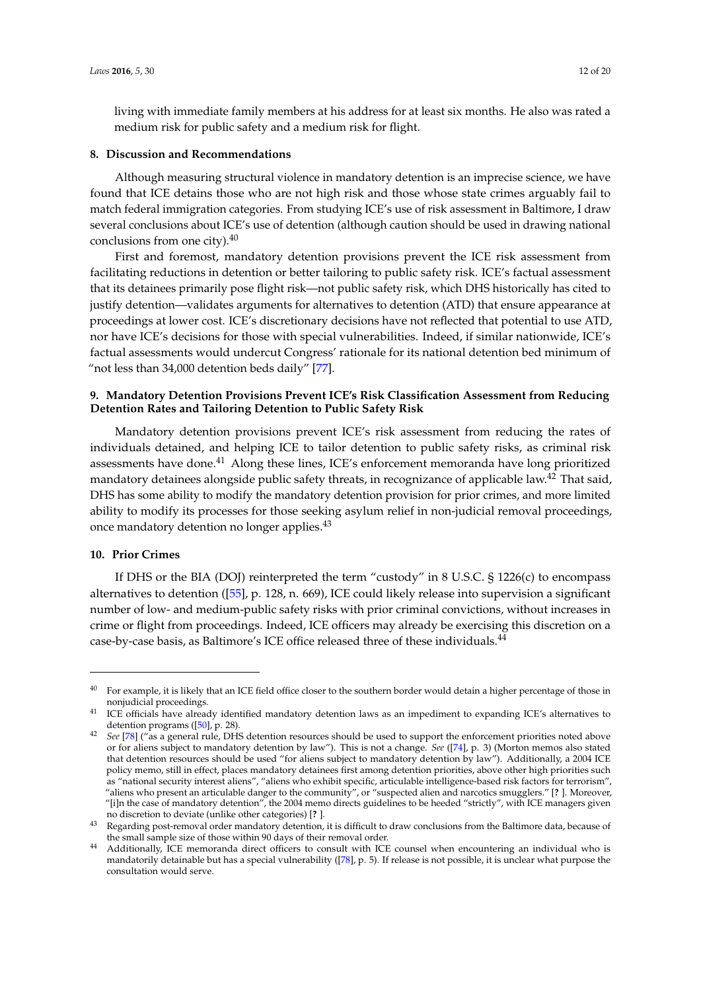living with immediate family members at his address for at least six months. He also was rated a medium risk for public safety and a medium risk for flight.

## **8. Discussion and Recommendations**

Although measuring structural violence in mandatory detention is an imprecise science, we have found that ICE detains those who are not high risk and those whose state crimes arguably fail to match federal immigration categories. From studying ICE's use of risk assessment in Baltimore, I draw several conclusions about ICE's use of detention (although caution should be used in drawing national conclusions from one city).<sup>40</sup>

First and foremost, mandatory detention provisions prevent the ICE risk assessment from facilitating reductions in detention or better tailoring to public safety risk. ICE's factual assessment that its detainees primarily pose flight risk—not public safety risk, which DHS historically has cited to justify detention—validates arguments for alternatives to detention (ATD) that ensure appearance at proceedings at lower cost. ICE's discretionary decisions have not reflected that potential to use ATD, nor have ICE's decisions for those with special vulnerabilities. Indeed, if similar nationwide, ICE's factual assessments would undercut Congress' rationale for its national detention bed minimum of "not less than 34,000 detention beds daily" [\[77\]](#page-18-5).

# **9. Mandatory Detention Provisions Prevent ICE's Risk Classification Assessment from Reducing Detention Rates and Tailoring Detention to Public Safety Risk**

Mandatory detention provisions prevent ICE's risk assessment from reducing the rates of individuals detained, and helping ICE to tailor detention to public safety risks, as criminal risk assessments have done.<sup>41</sup> Along these lines, ICE's enforcement memoranda have long prioritized mandatory detainees alongside public safety threats, in recognizance of applicable law.<sup>42</sup> That said, DHS has some ability to modify the mandatory detention provision for prior crimes, and more limited ability to modify its processes for those seeking asylum relief in non-judicial removal proceedings, once mandatory detention no longer applies.<sup>43</sup>

# **10. Prior Crimes**

If DHS or the BIA (DOJ) reinterpreted the term "custody" in 8 U.S.C. § 1226(c) to encompass alternatives to detention ([\[55\]](#page-17-9), p. 128, n. 669), ICE could likely release into supervision a significant number of low- and medium-public safety risks with prior criminal convictions, without increases in crime or flight from proceedings. Indeed, ICE officers may already be exercising this discretion on a case-by-case basis, as Baltimore's ICE office released three of these individuals.<sup>44</sup>

<sup>&</sup>lt;sup>40</sup> For example, it is likely that an ICE field office closer to the southern border would detain a higher percentage of those in nonjudicial proceedings.

<sup>&</sup>lt;sup>41</sup> ICE officials have already identified mandatory detention laws as an impediment to expanding ICE's alternatives to detention programs ([\[50\]](#page-16-19), p. 28).

<sup>42</sup> *See* [\[78\]](#page-18-6) ("as a general rule, DHS detention resources should be used to support the enforcement priorities noted above or for aliens subject to mandatory detention by law"). This is not a change. *See* ([\[74\]](#page-18-2), p. 3) (Morton memos also stated that detention resources should be used "for aliens subject to mandatory detention by law"). Additionally, a 2004 ICE policy memo, still in effect, places mandatory detainees first among detention priorities, above other high priorities such as "national security interest aliens", "aliens who exhibit specific, articulable intelligence-based risk factors for terrorism", "aliens who present an articulable danger to the community", or "suspected alien and narcotics smugglers." [**?** ]. Moreover, "[i]n the case of mandatory detention", the 2004 memo directs guidelines to be heeded "strictly", with ICE managers given no discretion to deviate (unlike other categories) [**?** ].

<sup>43</sup> Regarding post-removal order mandatory detention, it is difficult to draw conclusions from the Baltimore data, because of the small sample size of those within 90 days of their removal order.

<sup>44</sup> Additionally, ICE memoranda direct officers to consult with ICE counsel when encountering an individual who is mandatorily detainable but has a special vulnerability ([\[78\]](#page-18-6), p. 5). If release is not possible, it is unclear what purpose the consultation would serve.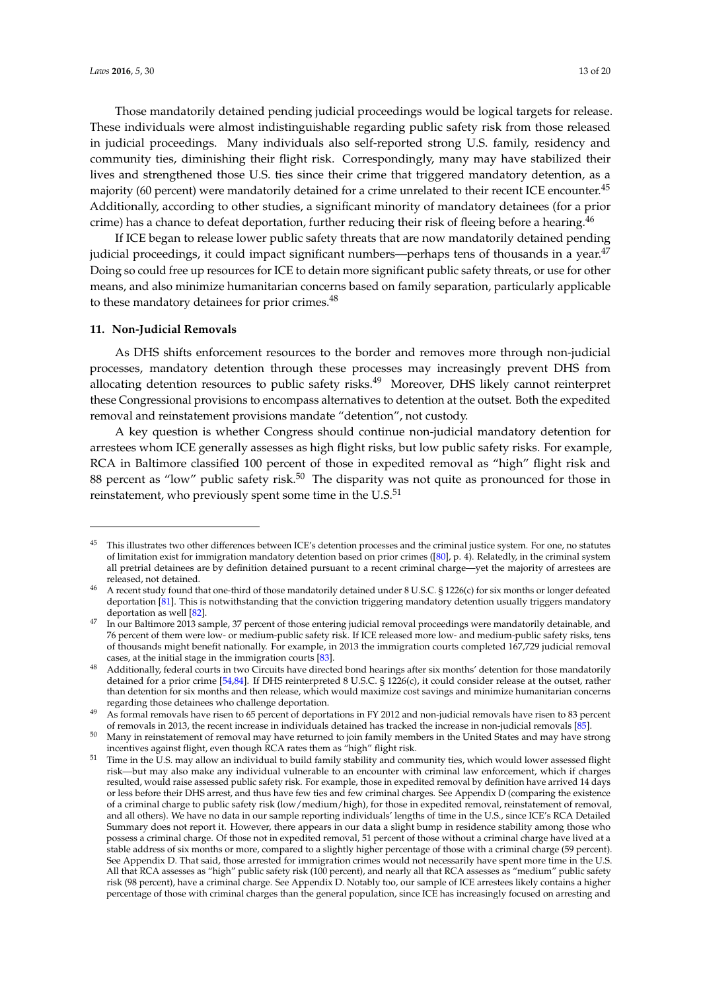Those mandatorily detained pending judicial proceedings would be logical targets for release. These individuals were almost indistinguishable regarding public safety risk from those released in judicial proceedings. Many individuals also self-reported strong U.S. family, residency and community ties, diminishing their flight risk. Correspondingly, many may have stabilized their lives and strengthened those U.S. ties since their crime that triggered mandatory detention, as a majority (60 percent) were mandatorily detained for a crime unrelated to their recent ICE encounter.<sup>45</sup> Additionally, according to other studies, a significant minority of mandatory detainees (for a prior crime) has a chance to defeat deportation, further reducing their risk of fleeing before a hearing.<sup>46</sup>

If ICE began to release lower public safety threats that are now mandatorily detained pending judicial proceedings, it could impact significant numbers—perhaps tens of thousands in a year.<sup>47</sup> Doing so could free up resources for ICE to detain more significant public safety threats, or use for other means, and also minimize humanitarian concerns based on family separation, particularly applicable to these mandatory detainees for prior crimes.<sup>48</sup>

# **11. Non-Judicial Removals**

As DHS shifts enforcement resources to the border and removes more through non-judicial processes, mandatory detention through these processes may increasingly prevent DHS from allocating detention resources to public safety risks.<sup>49</sup> Moreover, DHS likely cannot reinterpret these Congressional provisions to encompass alternatives to detention at the outset. Both the expedited removal and reinstatement provisions mandate "detention", not custody.

A key question is whether Congress should continue non-judicial mandatory detention for arrestees whom ICE generally assesses as high flight risks, but low public safety risks. For example, RCA in Baltimore classified 100 percent of those in expedited removal as "high" flight risk and 88 percent as "low" public safety risk.<sup>50</sup> The disparity was not quite as pronounced for those in reinstatement, who previously spent some time in the  $U.S.<sup>51</sup>$ 

<sup>&</sup>lt;sup>45</sup> This illustrates two other differences between ICE's detention processes and the criminal justice system. For one, no statutes of limitation exist for immigration mandatory detention based on prior crimes ([\[80\]](#page-18-7), p. 4). Relatedly, in the criminal system all pretrial detainees are by definition detained pursuant to a recent criminal charge—yet the majority of arrestees are released, not detained.

<sup>46</sup> A recent study found that one-third of those mandatorily detained under 8 U.S.C. § 1226(c) for six months or longer defeated deportation [\[81\]](#page-18-8). This is notwithstanding that the conviction triggering mandatory detention usually triggers mandatory deportation as well [\[82\]](#page-18-9).

<sup>47</sup> In our Baltimore 2013 sample, 37 percent of those entering judicial removal proceedings were mandatorily detainable, and 76 percent of them were low- or medium-public safety risk. If ICE released more low- and medium-public safety risks, tens of thousands might benefit nationally. For example, in 2013 the immigration courts completed 167,729 judicial removal cases, at the initial stage in the immigration courts [\[83\]](#page-18-10).

Additionally, federal courts in two Circuits have directed bond hearings after six months' detention for those mandatorily detained for a prior crime [\[54](#page-17-3)[,84\]](#page-18-11). If DHS reinterpreted 8 U.S.C. § 1226(c), it could consider release at the outset, rather than detention for six months and then release, which would maximize cost savings and minimize humanitarian concerns regarding those detainees who challenge deportation.

<sup>49</sup> As formal removals have risen to 65 percent of deportations in FY 2012 and non-judicial removals have risen to 83 percent of removals in 2013, the recent increase in individuals detained has tracked the increase in non-judicial removals [\[85\]](#page-18-12).

<sup>&</sup>lt;sup>50</sup> Many in reinstatement of removal may have returned to join family members in the United States and may have strong incentives against flight, even though RCA rates them as "high" flight risk.

<sup>51</sup> Time in the U.S. may allow an individual to build family stability and community ties, which would lower assessed flight risk—but may also make any individual vulnerable to an encounter with criminal law enforcement, which if charges resulted, would raise assessed public safety risk. For example, those in expedited removal by definition have arrived 14 days or less before their DHS arrest, and thus have few ties and few criminal charges. See Appendix D (comparing the existence of a criminal charge to public safety risk (low/medium/high), for those in expedited removal, reinstatement of removal, and all others). We have no data in our sample reporting individuals' lengths of time in the U.S., since ICE's RCA Detailed Summary does not report it. However, there appears in our data a slight bump in residence stability among those who possess a criminal charge. Of those not in expedited removal, 51 percent of those without a criminal charge have lived at a stable address of six months or more, compared to a slightly higher percentage of those with a criminal charge (59 percent). See Appendix D. That said, those arrested for immigration crimes would not necessarily have spent more time in the U.S. All that RCA assesses as "high" public safety risk (100 percent), and nearly all that RCA assesses as "medium" public safety risk (98 percent), have a criminal charge. See Appendix D. Notably too, our sample of ICE arrestees likely contains a higher percentage of those with criminal charges than the general population, since ICE has increasingly focused on arresting and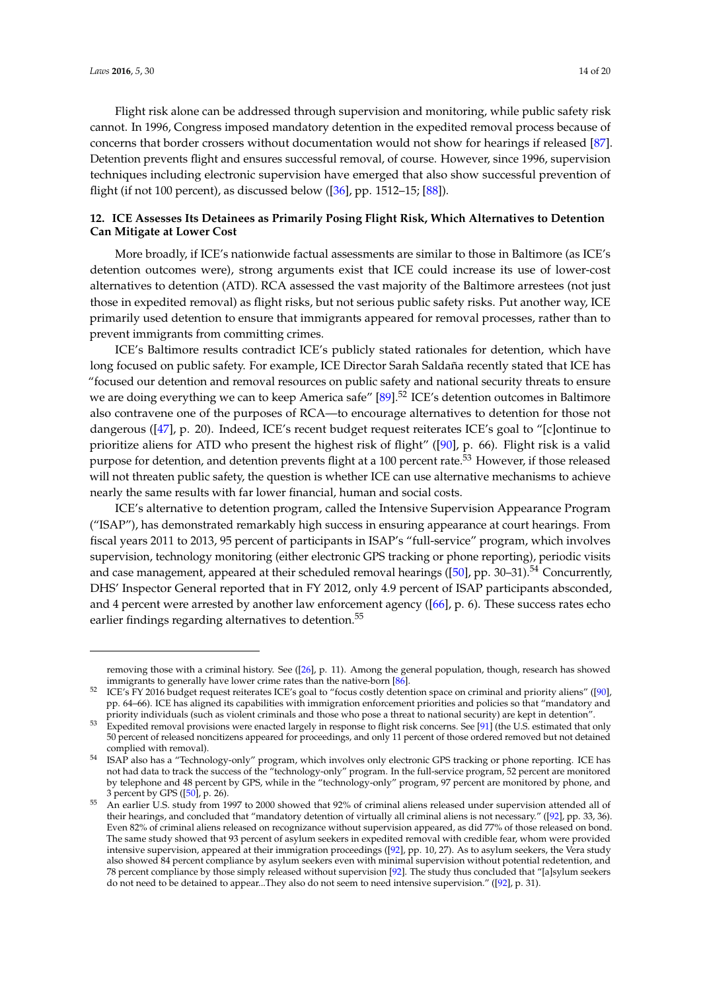Flight risk alone can be addressed through supervision and monitoring, while public safety risk cannot. In 1996, Congress imposed mandatory detention in the expedited removal process because of concerns that border crossers without documentation would not show for hearings if released [\[87\]](#page-18-13). Detention prevents flight and ensures successful removal, of course. However, since 1996, supervision techniques including electronic supervision have emerged that also show successful prevention of flight (if not 100 percent), as discussed below ([\[36\]](#page-16-6), pp. 1512–15; [\[88\]](#page-18-14)).

# **12. ICE Assesses Its Detainees as Primarily Posing Flight Risk, Which Alternatives to Detention Can Mitigate at Lower Cost**

More broadly, if ICE's nationwide factual assessments are similar to those in Baltimore (as ICE's detention outcomes were), strong arguments exist that ICE could increase its use of lower-cost alternatives to detention (ATD). RCA assessed the vast majority of the Baltimore arrestees (not just those in expedited removal) as flight risks, but not serious public safety risks. Put another way, ICE primarily used detention to ensure that immigrants appeared for removal processes, rather than to prevent immigrants from committing crimes.

ICE's Baltimore results contradict ICE's publicly stated rationales for detention, which have long focused on public safety. For example, ICE Director Sarah Saldaña recently stated that ICE has "focused our detention and removal resources on public safety and national security threats to ensure we are doing everything we can to keep America safe" [\[89\]](#page-18-15).<sup>52</sup> ICE's detention outcomes in Baltimore also contravene one of the purposes of RCA—to encourage alternatives to detention for those not dangerous ([\[47\]](#page-16-18), p. 20). Indeed, ICE's recent budget request reiterates ICE's goal to "[c]ontinue to prioritize aliens for ATD who present the highest risk of flight" ([\[90\]](#page-18-16), p. 66). Flight risk is a valid purpose for detention, and detention prevents flight at a 100 percent rate.<sup>53</sup> However, if those released will not threaten public safety, the question is whether ICE can use alternative mechanisms to achieve nearly the same results with far lower financial, human and social costs.

ICE's alternative to detention program, called the Intensive Supervision Appearance Program ("ISAP"), has demonstrated remarkably high success in ensuring appearance at court hearings. From fiscal years 2011 to 2013, 95 percent of participants in ISAP's "full-service" program, which involves supervision, technology monitoring (either electronic GPS tracking or phone reporting), periodic visits and case management, appeared at their scheduled removal hearings ( $[50]$ , pp. 30–31).<sup>54</sup> Concurrently, DHS' Inspector General reported that in FY 2012, only 4.9 percent of ISAP participants absconded, and 4 percent were arrested by another law enforcement agency ([\[66\]](#page-17-14), p. 6). These success rates echo earlier findings regarding alternatives to detention.<sup>55</sup>

removing those with a criminal history. See ([\[26\]](#page-16-1), p. 11). Among the general population, though, research has showed immigrants to generally have lower crime rates than the native-born [\[86\]](#page-18-17).

<sup>52</sup> ICE's FY 2016 budget request reiterates ICE's goal to "focus costly detention space on criminal and priority aliens" ([\[90\]](#page-18-16), pp. 64–66). ICE has aligned its capabilities with immigration enforcement priorities and policies so that "mandatory and priority individuals (such as violent criminals and those who pose a threat to national security) are kept in detention".

<sup>53</sup> Expedited removal provisions were enacted largely in response to flight risk concerns. See [\[91\]](#page-18-18) (the U.S. estimated that only 50 percent of released noncitizens appeared for proceedings, and only 11 percent of those ordered removed but not detained complied with removal).

<sup>54</sup> ISAP also has a "Technology-only" program, which involves only electronic GPS tracking or phone reporting. ICE has not had data to track the success of the "technology-only" program. In the full-service program, 52 percent are monitored by telephone and 48 percent by GPS, while in the "technology-only" program, 97 percent are monitored by phone, and 3 percent by GPS ([\[50\]](#page-16-19), p. 26).

<sup>55</sup> An earlier U.S. study from 1997 to 2000 showed that 92% of criminal aliens released under supervision attended all of their hearings, and concluded that "mandatory detention of virtually all criminal aliens is not necessary." ([\[92\]](#page-19-0), pp. 33, 36). Even 82% of criminal aliens released on recognizance without supervision appeared, as did 77% of those released on bond. The same study showed that 93 percent of asylum seekers in expedited removal with credible fear, whom were provided intensive supervision, appeared at their immigration proceedings ([\[92\]](#page-19-0), pp. 10, 27). As to asylum seekers, the Vera study also showed 84 percent compliance by asylum seekers even with minimal supervision without potential redetention, and 78 percent compliance by those simply released without supervision [\[92\]](#page-19-0). The study thus concluded that "[a]sylum seekers do not need to be detained to appear...They also do not seem to need intensive supervision." ([\[92\]](#page-19-0), p. 31).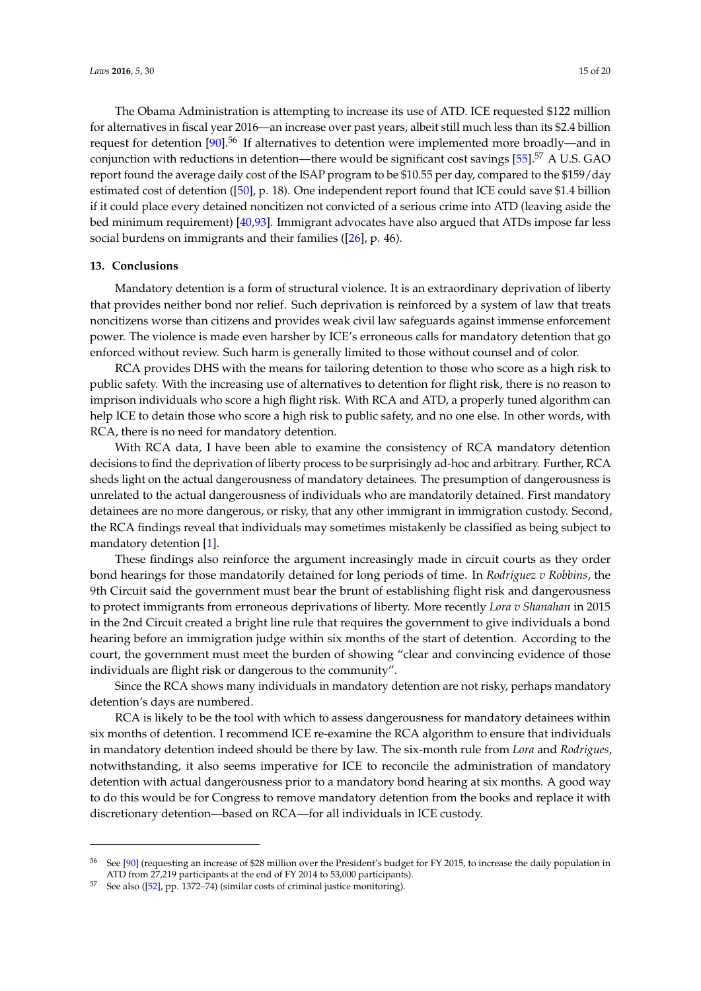The Obama Administration is attempting to increase its use of ATD. ICE requested \$122 million for alternatives in fiscal year 2016—an increase over past years, albeit still much less than its \$2.4 billion request for detention  $[90]$ <sup>56</sup> If alternatives to detention were implemented more broadly—and in conjunction with reductions in detention—there would be significant cost savings  $[55]$ .<sup>57</sup> A U.S. GAO report found the average daily cost of the ISAP program to be \$10.55 per day, compared to the \$159/day estimated cost of detention ([\[50\]](#page-16-19), p. 18). One independent report found that ICE could save \$1.4 billion if it could place every detained noncitizen not convicted of a serious crime into ATD (leaving aside the bed minimum requirement) [\[40](#page-16-9)[,93\]](#page-19-1). Immigrant advocates have also argued that ATDs impose far less social burdens on immigrants and their families ([\[26\]](#page-16-1), p. 46).

#### **13. Conclusions**

Mandatory detention is a form of structural violence. It is an extraordinary deprivation of liberty that provides neither bond nor relief. Such deprivation is reinforced by a system of law that treats noncitizens worse than citizens and provides weak civil law safeguards against immense enforcement power. The violence is made even harsher by ICE's erroneous calls for mandatory detention that go enforced without review. Such harm is generally limited to those without counsel and of color.

RCA provides DHS with the means for tailoring detention to those who score as a high risk to public safety. With the increasing use of alternatives to detention for flight risk, there is no reason to imprison individuals who score a high flight risk. With RCA and ATD, a properly tuned algorithm can help ICE to detain those who score a high risk to public safety, and no one else. In other words, with RCA, there is no need for mandatory detention.

With RCA data, I have been able to examine the consistency of RCA mandatory detention decisions to find the deprivation of liberty process to be surprisingly ad-hoc and arbitrary. Further, RCA sheds light on the actual dangerousness of mandatory detainees. The presumption of dangerousness is unrelated to the actual dangerousness of individuals who are mandatorily detained. First mandatory detainees are no more dangerous, or risky, that any other immigrant in immigration custody. Second, the RCA findings reveal that individuals may sometimes mistakenly be classified as being subject to mandatory detention [\[1\]](#page-15-0).

These findings also reinforce the argument increasingly made in circuit courts as they order bond hearings for those mandatorily detained for long periods of time. In *Rodriguez v Robbins*, the 9th Circuit said the government must bear the brunt of establishing flight risk and dangerousness to protect immigrants from erroneous deprivations of liberty. More recently *Lora v Shanahan* in 2015 in the 2nd Circuit created a bright line rule that requires the government to give individuals a bond hearing before an immigration judge within six months of the start of detention. According to the court, the government must meet the burden of showing "clear and convincing evidence of those individuals are flight risk or dangerous to the community".

Since the RCA shows many individuals in mandatory detention are not risky, perhaps mandatory detention's days are numbered.

RCA is likely to be the tool with which to assess dangerousness for mandatory detainees within six months of detention. I recommend ICE re-examine the RCA algorithm to ensure that individuals in mandatory detention indeed should be there by law. The six-month rule from *Lora* and *Rodrigues*, notwithstanding, it also seems imperative for ICE to reconcile the administration of mandatory detention with actual dangerousness prior to a mandatory bond hearing at six months. A good way to do this would be for Congress to remove mandatory detention from the books and replace it with discretionary detention—based on RCA—for all individuals in ICE custody.

<sup>56</sup> See [\[90\]](#page-18-16) (requesting an increase of \$28 million over the President's budget for FY 2015, to increase the daily population in ATD from 27,219 participants at the end of FY 2014 to 53,000 participants).

<sup>57</sup> See also ([\[52\]](#page-17-1), pp. 1372–74) (similar costs of criminal justice monitoring).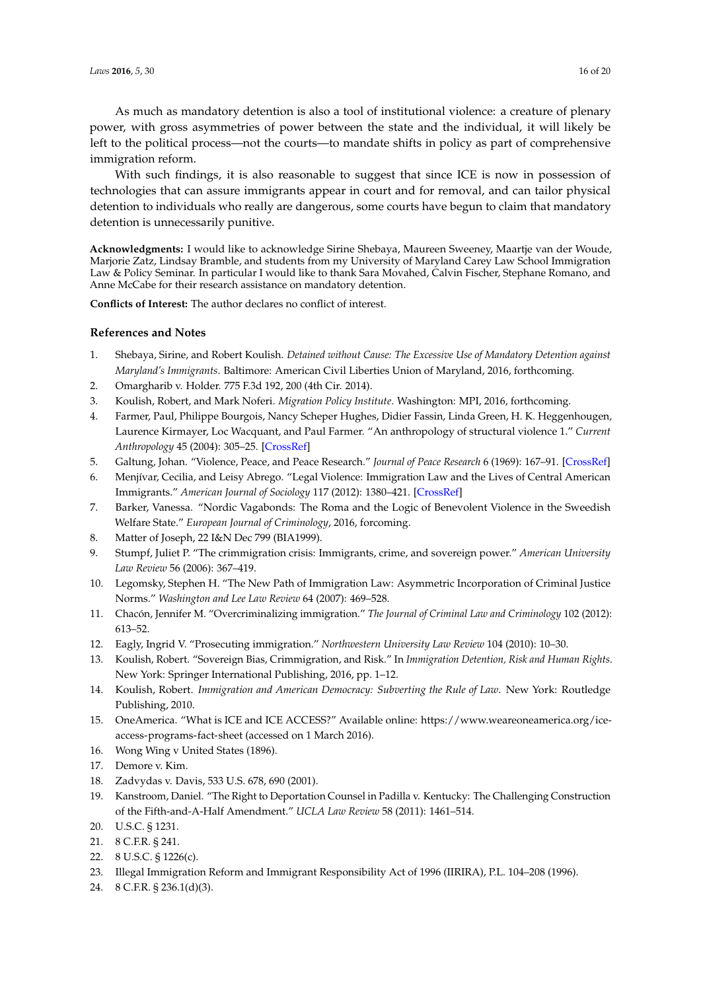With such findings, it is also reasonable to suggest that since ICE is now in possession of technologies that can assure immigrants appear in court and for removal, and can tailor physical detention to individuals who really are dangerous, some courts have begun to claim that mandatory detention is unnecessarily punitive.

**Acknowledgments:** I would like to acknowledge Sirine Shebaya, Maureen Sweeney, Maartje van der Woude, Marjorie Zatz, Lindsay Bramble, and students from my University of Maryland Carey Law School Immigration Law & Policy Seminar. In particular I would like to thank Sara Movahed, Calvin Fischer, Stephane Romano, and Anne McCabe for their research assistance on mandatory detention.

**Conflicts of Interest:** The author declares no conflict of interest.

# **References and Notes**

- <span id="page-15-0"></span>1. Shebaya, Sirine, and Robert Koulish. *Detained without Cause: The Excessive Use of Mandatory Detention against Maryland's Immigrants*. Baltimore: American Civil Liberties Union of Maryland, 2016, forthcoming.
- <span id="page-15-1"></span>2. Omargharib v. Holder. 775 F.3d 192, 200 (4th Cir. 2014).
- <span id="page-15-2"></span>3. Koulish, Robert, and Mark Noferi. *Migration Policy Institute*. Washington: MPI, 2016, forthcoming.
- <span id="page-15-6"></span>4. Farmer, Paul, Philippe Bourgois, Nancy Scheper Hughes, Didier Fassin, Linda Green, H. K. Heggenhougen, Laurence Kirmayer, Loc Wacquant, and Paul Farmer. "An anthropology of structural violence 1." *Current Anthropology* 45 (2004): 305–25. [\[CrossRef\]](http://dx.doi.org/10.1086/382250)
- <span id="page-15-3"></span>5. Galtung, Johan. "Violence, Peace, and Peace Research." *Journal of Peace Research* 6 (1969): 167–91. [\[CrossRef\]](http://dx.doi.org/10.1177/002234336900600301)
- <span id="page-15-4"></span>6. Menjívar, Cecilia, and Leisy Abrego. "Legal Violence: Immigration Law and the Lives of Central American Immigrants." *American Journal of Sociology* 117 (2012): 1380–421. [\[CrossRef\]](http://dx.doi.org/10.1086/663575)
- <span id="page-15-5"></span>7. Barker, Vanessa. "Nordic Vagabonds: The Roma and the Logic of Benevolent Violence in the Sweedish Welfare State." *European Journal of Criminology*, 2016, forcoming.
- <span id="page-15-11"></span>8. Matter of Joseph, 22 I&N Dec 799 (BIA1999).
- <span id="page-15-7"></span>9. Stumpf, Juliet P. "The crimmigration crisis: Immigrants, crime, and sovereign power." *American University Law Review* 56 (2006): 367–419.
- 10. Legomsky, Stephen H. "The New Path of Immigration Law: Asymmetric Incorporation of Criminal Justice Norms." *Washington and Lee Law Review* 64 (2007): 469–528.
- 11. Chacón, Jennifer M. "Overcriminalizing immigration." *The Journal of Criminal Law and Criminology* 102 (2012): 613–52.
- <span id="page-15-8"></span>12. Eagly, Ingrid V. "Prosecuting immigration." *Northwestern University Law Review* 104 (2010): 10–30.
- <span id="page-15-12"></span>13. Koulish, Robert. "Sovereign Bias, Crimmigration, and Risk." In *Immigration Detention, Risk and Human Rights*. New York: Springer International Publishing, 2016, pp. 1–12.
- <span id="page-15-9"></span>14. Koulish, Robert. *Immigration and American Democracy: Subverting the Rule of Law*. New York: Routledge Publishing, 2010.
- <span id="page-15-10"></span>15. OneAmerica. "What is ICE and ICE ACCESS?" Available online: [https://www.weareoneamerica.org/ice](https://www.weareoneamerica.org/ice-access-programs-fact-sheet)[access-programs-fact-sheet](https://www.weareoneamerica.org/ice-access-programs-fact-sheet) (accessed on 1 March 2016).
- <span id="page-15-13"></span>16. Wong Wing v United States (1896).
- <span id="page-15-14"></span>17. Demore v. Kim.
- <span id="page-15-15"></span>18. Zadvydas v. Davis, 533 U.S. 678, 690 (2001).
- <span id="page-15-16"></span>19. Kanstroom, Daniel. "The Right to Deportation Counsel in Padilla v. Kentucky: The Challenging Construction of the Fifth-and-A-Half Amendment." *UCLA Law Review* 58 (2011): 1461–514.
- <span id="page-15-19"></span>20. U.S.C. § 1231.
- <span id="page-15-20"></span>21. 8 C.F.R. § 241.
- <span id="page-15-17"></span>22. 8 U.S.C. § 1226(c).
- <span id="page-15-18"></span>23. Illegal Immigration Reform and Immigrant Responsibility Act of 1996 (IIRIRA), P.L. 104–208 (1996).
- <span id="page-15-21"></span>24. 8 C.F.R. § 236.1(d)(3).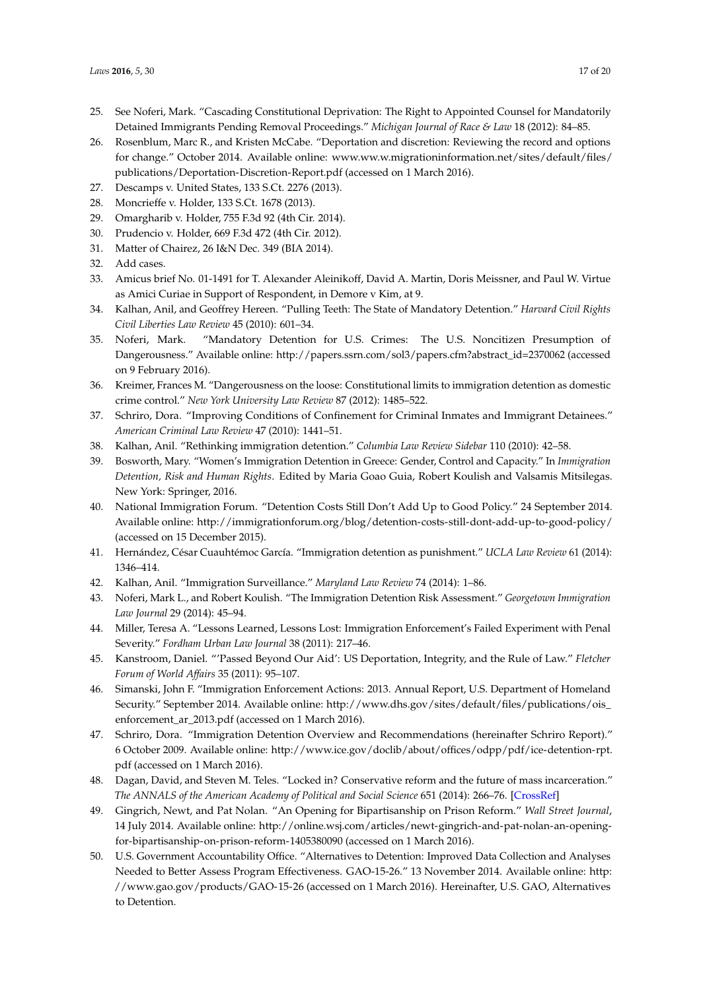- <span id="page-16-0"></span>25. See Noferi, Mark. "Cascading Constitutional Deprivation: The Right to Appointed Counsel for Mandatorily Detained Immigrants Pending Removal Proceedings." *Michigan Journal of Race & Law* 18 (2012): 84–85.
- <span id="page-16-1"></span>26. Rosenblum, Marc R., and Kristen McCabe. "Deportation and discretion: Reviewing the record and options for change." October 2014. Available online: [www.ww.w.migrationinformation.net/sites/default/files/](www.ww.w.migrationinformation.net/sites/default/files/publications/Deportation-Discretion-Report.pdf) [publications/Deportation-Discretion-Report.pdf](www.ww.w.migrationinformation.net/sites/default/files/publications/Deportation-Discretion-Report.pdf) (accessed on 1 March 2016).
- <span id="page-16-15"></span>27. Descamps v. United States, 133 S.Ct. 2276 (2013).
- 28. Moncrieffe v. Holder, 133 S.Ct. 1678 (2013).
- 29. Omargharib v. Holder, 755 F.3d 92 (4th Cir. 2014).
- 30. Prudencio v. Holder, 669 F.3d 472 (4th Cir. 2012).
- <span id="page-16-16"></span>31. Matter of Chairez, 26 I&N Dec. 349 (BIA 2014).
- <span id="page-16-2"></span>32. Add cases.
- <span id="page-16-3"></span>33. Amicus brief No. 01-1491 for T. Alexander Aleinikoff, David A. Martin, Doris Meissner, and Paul W. Virtue as Amici Curiae in Support of Respondent, in Demore v Kim, at 9.
- <span id="page-16-4"></span>34. Kalhan, Anil, and Geoffrey Hereen. "Pulling Teeth: The State of Mandatory Detention." *Harvard Civil Rights Civil Liberties Law Review* 45 (2010): 601–34.
- <span id="page-16-5"></span>35. Noferi, Mark. "Mandatory Detention for U.S. Crimes: The U.S. Noncitizen Presumption of Dangerousness." Available online: [http://papers.ssrn.com/sol3/papers.cfm?abstract\\_id=2370062](http://papers.ssrn.com/sol3/papers.cfm?abstract_id=2370062) (accessed on 9 February 2016).
- <span id="page-16-6"></span>36. Kreimer, Frances M. "Dangerousness on the loose: Constitutional limits to immigration detention as domestic crime control." *New York University Law Review* 87 (2012): 1485–522.
- <span id="page-16-7"></span>37. Schriro, Dora. "Improving Conditions of Confinement for Criminal Inmates and Immigrant Detainees." *American Criminal Law Review* 47 (2010): 1441–51.
- <span id="page-16-20"></span>38. Kalhan, Anil. "Rethinking immigration detention." *Columbia Law Review Sidebar* 110 (2010): 42–58.
- <span id="page-16-8"></span>39. Bosworth, Mary. "Women's Immigration Detention in Greece: Gender, Control and Capacity." In *Immigration Detention, Risk and Human Rights*. Edited by Maria Goao Guia, Robert Koulish and Valsamis Mitsilegas. New York: Springer, 2016.
- <span id="page-16-9"></span>40. National Immigration Forum. "Detention Costs Still Don't Add Up to Good Policy." 24 September 2014. Available online: <http://immigrationforum.org/blog/detention-costs-still-dont-add-up-to-good-policy/> (accessed on 15 December 2015).
- <span id="page-16-10"></span>41. Hernández, César Cuauhtémoc García. "Immigration detention as punishment." *UCLA Law Review* 61 (2014): 1346–414.
- <span id="page-16-11"></span>42. Kalhan, Anil. "Immigration Surveillance." *Maryland Law Review* 74 (2014): 1–86.
- <span id="page-16-12"></span>43. Noferi, Mark L., and Robert Koulish. "The Immigration Detention Risk Assessment." *Georgetown Immigration Law Journal* 29 (2014): 45–94.
- <span id="page-16-13"></span>44. Miller, Teresa A. "Lessons Learned, Lessons Lost: Immigration Enforcement's Failed Experiment with Penal Severity." *Fordham Urban Law Journal* 38 (2011): 217–46.
- <span id="page-16-14"></span>45. Kanstroom, Daniel. "'Passed Beyond Our Aid': US Deportation, Integrity, and the Rule of Law." *Fletcher Forum of World Affairs* 35 (2011): 95–107.
- <span id="page-16-17"></span>46. Simanski, John F. "Immigration Enforcement Actions: 2013. Annual Report, U.S. Department of Homeland Security." September 2014. Available online: [http://www.dhs.gov/sites/default/files/publications/ois\\_](http://www.dhs.gov/sites/default/files/publications/ois_enforcement_ar_2013.pdf) [enforcement\\_ar\\_2013.pdf](http://www.dhs.gov/sites/default/files/publications/ois_enforcement_ar_2013.pdf) (accessed on 1 March 2016).
- <span id="page-16-18"></span>47. Schriro, Dora. "Immigration Detention Overview and Recommendations (hereinafter Schriro Report)." 6 October 2009. Available online: [http://www.ice.gov/doclib/about/offices/odpp/pdf/ice-detention-rpt.](http://www.ice.gov/doclib/about/offices/odpp/pdf/ice-detention-rpt.pdf) [pdf](http://www.ice.gov/doclib/about/offices/odpp/pdf/ice-detention-rpt.pdf) (accessed on 1 March 2016).
- <span id="page-16-21"></span>48. Dagan, David, and Steven M. Teles. "Locked in? Conservative reform and the future of mass incarceration." *The ANNALS of the American Academy of Political and Social Science* 651 (2014): 266–76. [\[CrossRef\]](http://dx.doi.org/10.1177/0002716213502935)
- <span id="page-16-22"></span>49. Gingrich, Newt, and Pat Nolan. "An Opening for Bipartisanship on Prison Reform." *Wall Street Journal*, 14 July 2014. Available online: [http://online.wsj.com/articles/newt-gingrich-and-pat-nolan-an-opening](http://online.wsj.com/articles/newt-gingrich-and-pat-nolan-an-opening-for-bipartisanship-on-prison-reform-1405380090)[for-bipartisanship-on-prison-reform-1405380090](http://online.wsj.com/articles/newt-gingrich-and-pat-nolan-an-opening-for-bipartisanship-on-prison-reform-1405380090) (accessed on 1 March 2016).
- <span id="page-16-19"></span>50. U.S. Government Accountability Office. "Alternatives to Detention: Improved Data Collection and Analyses Needed to Better Assess Program Effectiveness. GAO-15-26." 13 November 2014. Available online: [http:](http://www.gao.gov/products/GAO-15-26) [//www.gao.gov/products/GAO-15-26](http://www.gao.gov/products/GAO-15-26) (accessed on 1 March 2016). Hereinafter, U.S. GAO, Alternatives to Detention.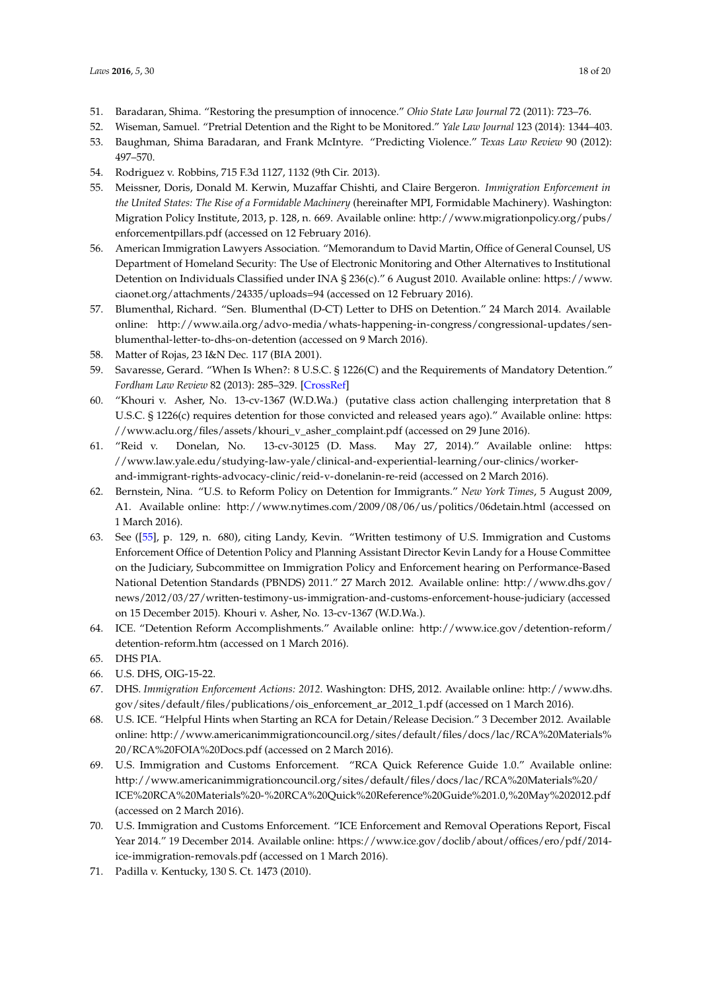- <span id="page-17-0"></span>51. Baradaran, Shima. "Restoring the presumption of innocence." *Ohio State Law Journal* 72 (2011): 723–76.
- <span id="page-17-1"></span>52. Wiseman, Samuel. "Pretrial Detention and the Right to be Monitored." *Yale Law Journal* 123 (2014): 1344–403.
- <span id="page-17-2"></span>53. Baughman, Shima Baradaran, and Frank McIntyre. "Predicting Violence." *Texas Law Review* 90 (2012): 497–570.
- <span id="page-17-3"></span>54. Rodriguez v. Robbins, 715 F.3d 1127, 1132 (9th Cir. 2013).
- <span id="page-17-9"></span>55. Meissner, Doris, Donald M. Kerwin, Muzaffar Chishti, and Claire Bergeron. *Immigration Enforcement in the United States: The Rise of a Formidable Machinery* (hereinafter MPI, Formidable Machinery). Washington: Migration Policy Institute, 2013, p. 128, n. 669. Available online: [http://www.migrationpolicy.org/pubs/](http://www.migrationpolicy.org/pubs/enforcementpillars.pdf) [enforcementpillars.pdf](http://www.migrationpolicy.org/pubs/enforcementpillars.pdf) (accessed on 12 February 2016).
- <span id="page-17-4"></span>56. American Immigration Lawyers Association. "Memorandum to David Martin, Office of General Counsel, US Department of Homeland Security: The Use of Electronic Monitoring and Other Alternatives to Institutional Detention on Individuals Classified under INA § 236(c)." 6 August 2010. Available online: [https://www.](https://www.ciaonet.org/attachments/24335/uploads=94) [ciaonet.org/attachments/24335/uploads=94](https://www.ciaonet.org/attachments/24335/uploads=94) (accessed on 12 February 2016).
- <span id="page-17-5"></span>57. Blumenthal, Richard. "Sen. Blumenthal (D-CT) Letter to DHS on Detention." 24 March 2014. Available online: [http://www.aila.org/advo-media/whats-happening-in-congress/congressional-updates/sen](http://www.aila.org/advo-media/whats-happening-in-congress/congressional-updates/sen-blumenthal-letter-to-dhs-on-detention)[blumenthal-letter-to-dhs-on-detention](http://www.aila.org/advo-media/whats-happening-in-congress/congressional-updates/sen-blumenthal-letter-to-dhs-on-detention) (accessed on 9 March 2016).
- <span id="page-17-6"></span>58. Matter of Rojas, 23 I&N Dec. 117 (BIA 2001).
- <span id="page-17-7"></span>59. Savaresse, Gerard. "When Is When?: 8 U.S.C. § 1226(C) and the Requirements of Mandatory Detention." *Fordham Law Review* 82 (2013): 285–329. [\[CrossRef\]](http://dx.doi.org/10.2139/ssrn.2324988)
- <span id="page-17-8"></span>60. "Khouri v. Asher, No. 13-cv-1367 (W.D.Wa.) (putative class action challenging interpretation that 8 U.S.C. § 1226(c) requires detention for those convicted and released years ago)." Available online: [https:](https://www.aclu.org/files/assets/khouri_v_asher_complaint.pdf) [//www.aclu.org/files/assets/khouri\\_v\\_asher\\_complaint.pdf](https://www.aclu.org/files/assets/khouri_v_asher_complaint.pdf) (accessed on 29 June 2016).
- <span id="page-17-10"></span>61. "Reid v. Donelan, No. 13-cv-30125 (D. Mass. May 27, 2014)." Available online: [https:](https://www.law.yale.edu/studying-law-yale/clinical-and-experiential-learning/our-clinics/worker-and-immigrant-rights-advocacy-clinic/reid-v-donelanin-re-reid) [//www.law.yale.edu/studying-law-yale/clinical-and-experiential-learning/our-clinics/worker](https://www.law.yale.edu/studying-law-yale/clinical-and-experiential-learning/our-clinics/worker-and-immigrant-rights-advocacy-clinic/reid-v-donelanin-re-reid)[and-immigrant-rights-advocacy-clinic/reid-v-donelanin-re-reid](https://www.law.yale.edu/studying-law-yale/clinical-and-experiential-learning/our-clinics/worker-and-immigrant-rights-advocacy-clinic/reid-v-donelanin-re-reid) (accessed on 2 March 2016).
- <span id="page-17-11"></span>62. Bernstein, Nina. "U.S. to Reform Policy on Detention for Immigrants." *New York Times*, 5 August 2009, A1. Available online: <http://www.nytimes.com/2009/08/06/us/politics/06detain.html> (accessed on 1 March 2016).
- <span id="page-17-18"></span>63. See ([\[55\]](#page-17-9), p. 129, n. 680), citing Landy, Kevin. "Written testimony of U.S. Immigration and Customs Enforcement Office of Detention Policy and Planning Assistant Director Kevin Landy for a House Committee on the Judiciary, Subcommittee on Immigration Policy and Enforcement hearing on Performance-Based National Detention Standards (PBNDS) 2011." 27 March 2012. Available online: [http://www.dhs.gov/](http://www.dhs.gov/news/2012/03/27/written-testimony-us-immigration-and-customs-enforcement-house-judiciary) [news/2012/03/27/written-testimony-us-immigration-and-customs-enforcement-house-judiciary](http://www.dhs.gov/news/2012/03/27/written-testimony-us-immigration-and-customs-enforcement-house-judiciary) (accessed on 15 December 2015). Khouri v. Asher, No. 13-cv-1367 (W.D.Wa.).
- <span id="page-17-12"></span>64. ICE. "Detention Reform Accomplishments." Available online: [http://www.ice.gov/detention-reform/](http://www.ice.gov/detention-reform/detention-reform.htm) [detention-reform.htm](http://www.ice.gov/detention-reform/detention-reform.htm) (accessed on 1 March 2016).
- <span id="page-17-13"></span>65. DHS PIA.
- <span id="page-17-14"></span>66. U.S. DHS, OIG-15-22.
- <span id="page-17-15"></span>67. DHS. *Immigration Enforcement Actions: 2012*. Washington: DHS, 2012. Available online: [http://www.dhs.](http://www.dhs.gov/sites/default/files/publications/ois_enforcement_ar_2012_1.pdf) [gov/sites/default/files/publications/ois\\_enforcement\\_ar\\_2012\\_1.pdf](http://www.dhs.gov/sites/default/files/publications/ois_enforcement_ar_2012_1.pdf) (accessed on 1 March 2016).
- <span id="page-17-19"></span>68. U.S. ICE. "Helpful Hints when Starting an RCA for Detain/Release Decision." 3 December 2012. Available online: [http://www.americanimmigrationcouncil.org/sites/default/files/docs/lac/RCA%20Materials%](http://www.americanimmigrationcouncil.org/sites/default/files/docs/lac/RCA%20Materials%20/RCA%20FOIA%20Docs.pdf) [20/RCA%20FOIA%20Docs.pdf](http://www.americanimmigrationcouncil.org/sites/default/files/docs/lac/RCA%20Materials%20/RCA%20FOIA%20Docs.pdf) (accessed on 2 March 2016).
- <span id="page-17-16"></span>69. U.S. Immigration and Customs Enforcement. "RCA Quick Reference Guide 1.0." Available online: [http://www.americanimmigrationcouncil.org/sites/default/files/docs/lac/RCA%20Materials%20/](http://www.americanimmigrationcouncil.org/sites/default/files/docs/lac/RCA%20Materials%20/ICE%20RCA%20Materials%20-%20RCA%20Quick%20Reference%20Guide%201.0,%20May%202012.pdf) [ICE%20RCA%20Materials%20-%20RCA%20Quick%20Reference%20Guide%201.0,%20May%202012.pdf](http://www.americanimmigrationcouncil.org/sites/default/files/docs/lac/RCA%20Materials%20/ICE%20RCA%20Materials%20-%20RCA%20Quick%20Reference%20Guide%201.0,%20May%202012.pdf) (accessed on 2 March 2016).
- <span id="page-17-17"></span>70. U.S. Immigration and Customs Enforcement. "ICE Enforcement and Removal Operations Report, Fiscal Year 2014." 19 December 2014. Available online: [https://www.ice.gov/doclib/about/offices/ero/pdf/2014](https://www.ice.gov/doclib/about/offices/ero/pdf/2014-ice-immigration-removals.pdf) [ice-immigration-removals.pdf](https://www.ice.gov/doclib/about/offices/ero/pdf/2014-ice-immigration-removals.pdf) (accessed on 1 March 2016).
- <span id="page-17-20"></span>71. Padilla v. Kentucky, 130 S. Ct. 1473 (2010).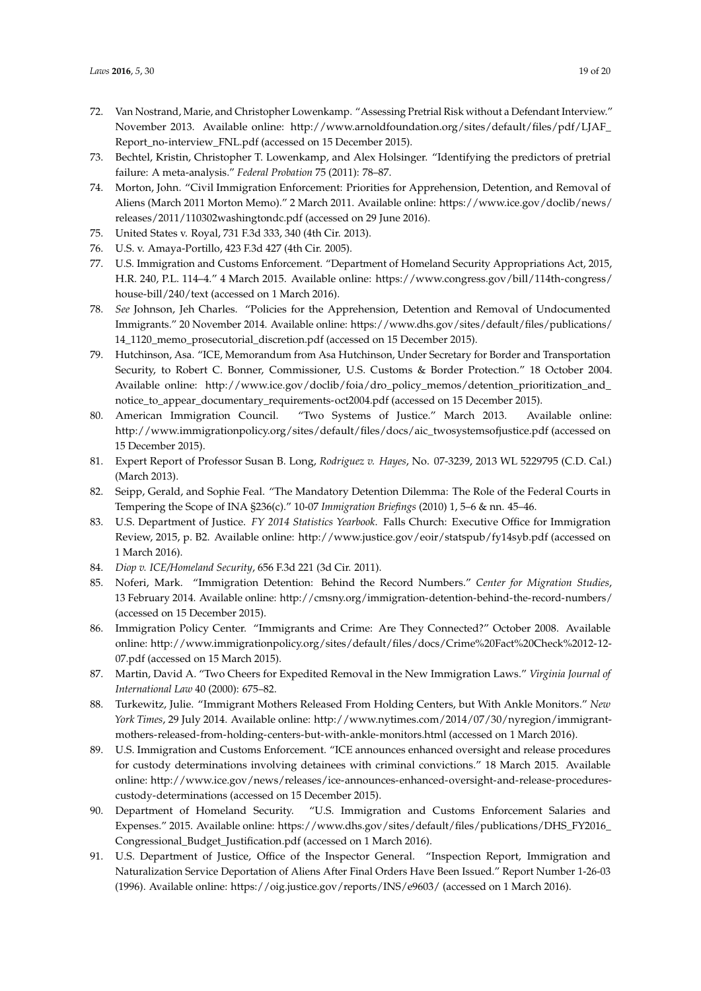- <span id="page-18-0"></span>72. Van Nostrand, Marie, and Christopher Lowenkamp. "Assessing Pretrial Risk without a Defendant Interview." November 2013. Available online: [http://www.arnoldfoundation.org/sites/default/files/pdf/LJAF\\_](http://www.arnoldfoundation.org/sites/default/files/pdf/LJAF_Report_no-interview_FNL.pdf) [Report\\_no-interview\\_FNL.pdf](http://www.arnoldfoundation.org/sites/default/files/pdf/LJAF_Report_no-interview_FNL.pdf) (accessed on 15 December 2015).
- <span id="page-18-1"></span>73. Bechtel, Kristin, Christopher T. Lowenkamp, and Alex Holsinger. "Identifying the predictors of pretrial failure: A meta-analysis." *Federal Probation* 75 (2011): 78–87.
- <span id="page-18-2"></span>74. Morton, John. "Civil Immigration Enforcement: Priorities for Apprehension, Detention, and Removal of Aliens (March 2011 Morton Memo)." 2 March 2011. Available online: [https://www.ice.gov/doclib/news/](https://www.ice.gov/doclib/news/releases/2011/110302washingtondc.pdf) [releases/2011/110302washingtondc.pdf](https://www.ice.gov/doclib/news/releases/2011/110302washingtondc.pdf) (accessed on 29 June 2016).
- <span id="page-18-3"></span>75. United States v. Royal, 731 F.3d 333, 340 (4th Cir. 2013).
- <span id="page-18-4"></span>76. U.S. v. Amaya-Portillo, 423 F.3d 427 (4th Cir. 2005).
- <span id="page-18-5"></span>77. U.S. Immigration and Customs Enforcement. "Department of Homeland Security Appropriations Act, 2015, H.R. 240, P.L. 114–4." 4 March 2015. Available online: [https://www.congress.gov/bill/114th-congress/](https://www.congress.gov/bill/114th-congress/house-bill/240/text) [house-bill/240/text](https://www.congress.gov/bill/114th-congress/house-bill/240/text) (accessed on 1 March 2016).
- <span id="page-18-6"></span>78. *See* Johnson, Jeh Charles. "Policies for the Apprehension, Detention and Removal of Undocumented Immigrants." 20 November 2014. Available online: [https://www.dhs.gov/sites/default/files/publications/](https://www.dhs.gov/sites/default/files/publications/14_1120_memo_prosecutorial_discretion.pdf) [14\\_1120\\_memo\\_prosecutorial\\_discretion.pdf](https://www.dhs.gov/sites/default/files/publications/14_1120_memo_prosecutorial_discretion.pdf) (accessed on 15 December 2015).
- 79. Hutchinson, Asa. "ICE, Memorandum from Asa Hutchinson, Under Secretary for Border and Transportation Security, to Robert C. Bonner, Commissioner, U.S. Customs & Border Protection." 18 October 2004. Available online: [http://www.ice.gov/doclib/foia/dro\\_policy\\_memos/detention\\_prioritization\\_and\\_](http://www.ice.gov/doclib/foia/dro_policy_memos/detention_prioritization_and_notice_to_appear_documentary_requirements-oct2004.pdf) [notice\\_to\\_appear\\_documentary\\_requirements-oct2004.pdf](http://www.ice.gov/doclib/foia/dro_policy_memos/detention_prioritization_and_notice_to_appear_documentary_requirements-oct2004.pdf) (accessed on 15 December 2015).
- <span id="page-18-7"></span>80. American Immigration Council. "Two Systems of Justice." March 2013. Available online: [http://www.immigrationpolicy.org/sites/default/files/docs/aic\\_twosystemsofjustice.pdf](http://www.immigrationpolicy.org/sites/default/files/docs/aic_twosystemsofjustice.pdf) (accessed on 15 December 2015).
- <span id="page-18-8"></span>81. Expert Report of Professor Susan B. Long, *Rodriguez v. Hayes*, No. 07-3239, 2013 WL 5229795 (C.D. Cal.) (March 2013).
- <span id="page-18-9"></span>82. Seipp, Gerald, and Sophie Feal. "The Mandatory Detention Dilemma: The Role of the Federal Courts in Tempering the Scope of INA §236(c)." 10-07 *Immigration Briefings* (2010) 1, 5–6 & nn. 45–46.
- <span id="page-18-10"></span>83. U.S. Department of Justice. *FY 2014 Statistics Yearbook*. Falls Church: Executive Office for Immigration Review, 2015, p. B2. Available online: <http://www.justice.gov/eoir/statspub/fy14syb.pdf> (accessed on 1 March 2016).
- <span id="page-18-11"></span>84. *Diop v. ICE/Homeland Security*, 656 F.3d 221 (3d Cir. 2011).
- <span id="page-18-12"></span>85. Noferi, Mark. "Immigration Detention: Behind the Record Numbers." *Center for Migration Studies*, 13 February 2014. Available online: <http://cmsny.org/immigration-detention-behind-the-record-numbers/> (accessed on 15 December 2015).
- <span id="page-18-17"></span>86. Immigration Policy Center. "Immigrants and Crime: Are They Connected?" October 2008. Available online: [http://www.immigrationpolicy.org/sites/default/files/docs/Crime%20Fact%20Check%2012-12-](http://www.immigrationpolicy.org/sites/default/files/docs/Crime%20Fact%20Check%2012-12-07.pdf) [07.pdf](http://www.immigrationpolicy.org/sites/default/files/docs/Crime%20Fact%20Check%2012-12-07.pdf) (accessed on 15 March 2015).
- <span id="page-18-13"></span>87. Martin, David A. "Two Cheers for Expedited Removal in the New Immigration Laws." *Virginia Journal of International Law* 40 (2000): 675–82.
- <span id="page-18-14"></span>88. Turkewitz, Julie. "Immigrant Mothers Released From Holding Centers, but With Ankle Monitors." *New York Times*, 29 July 2014. Available online: [http://www.nytimes.com/2014/07/30/nyregion/immigrant](http://www.nytimes.com/2014/07/30/nyregion/immigrant-mothers-released-from-holding-centers-but-with-ankle-monitors.html)[mothers-released-from-holding-centers-but-with-ankle-monitors.html](http://www.nytimes.com/2014/07/30/nyregion/immigrant-mothers-released-from-holding-centers-but-with-ankle-monitors.html) (accessed on 1 March 2016).
- <span id="page-18-15"></span>89. U.S. Immigration and Customs Enforcement. "ICE announces enhanced oversight and release procedures for custody determinations involving detainees with criminal convictions." 18 March 2015. Available online: [http://www.ice.gov/news/releases/ice-announces-enhanced-oversight-and-release-procedures](http://www.ice.gov/news/releases/ice-announces-enhanced-oversight-and-release-procedures-custody-determinations)[custody-determinations](http://www.ice.gov/news/releases/ice-announces-enhanced-oversight-and-release-procedures-custody-determinations) (accessed on 15 December 2015).
- <span id="page-18-16"></span>90. Department of Homeland Security. "U.S. Immigration and Customs Enforcement Salaries and Expenses." 2015. Available online: [https://www.dhs.gov/sites/default/files/publications/DHS\\_FY2016\\_](https://www.dhs.gov/sites/default/files/publications/DHS_FY2016_Congressional_Budget_Justification.pdf) [Congressional\\_Budget\\_Justification.pdf](https://www.dhs.gov/sites/default/files/publications/DHS_FY2016_Congressional_Budget_Justification.pdf) (accessed on 1 March 2016).
- <span id="page-18-18"></span>91. U.S. Department of Justice, Office of the Inspector General. "Inspection Report, Immigration and Naturalization Service Deportation of Aliens After Final Orders Have Been Issued." Report Number 1-26-03 (1996). Available online: <https://oig.justice.gov/reports/INS/e9603/> (accessed on 1 March 2016).